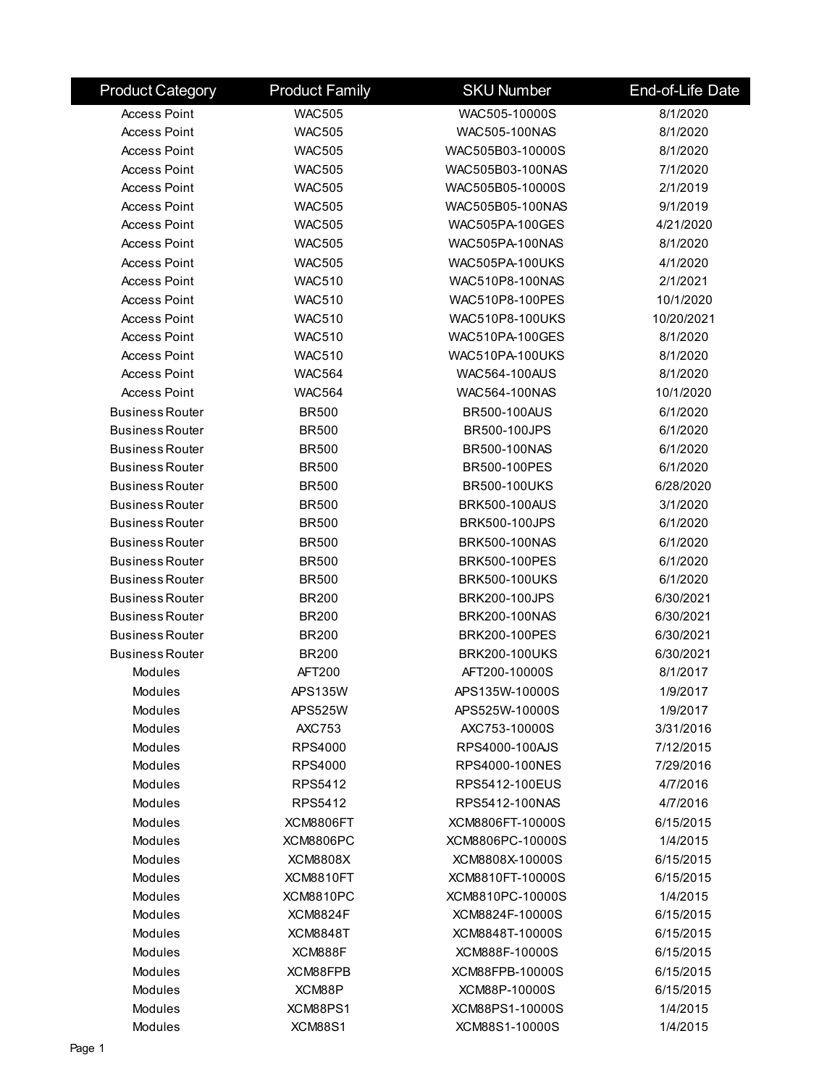| <b>Product Category</b> | <b>Product Family</b> | <b>SKU Number</b>      | End-of-Life Date |
|-------------------------|-----------------------|------------------------|------------------|
| <b>Access Point</b>     | <b>WAC505</b>         | WAC505-10000S          | 8/1/2020         |
| <b>Access Point</b>     | <b>WAC505</b>         | WAC505-100NAS          | 8/1/2020         |
| <b>Access Point</b>     | <b>WAC505</b>         | WAC505B03-10000S       | 8/1/2020         |
| <b>Access Point</b>     | <b>WAC505</b>         | WAC505B03-100NAS       | 7/1/2020         |
| <b>Access Point</b>     | <b>WAC505</b>         | WAC505B05-10000S       | 2/1/2019         |
| <b>Access Point</b>     | <b>WAC505</b>         | WAC505B05-100NAS       | 9/1/2019         |
| <b>Access Point</b>     | <b>WAC505</b>         | WAC505PA-100GES        | 4/21/2020        |
| <b>Access Point</b>     | <b>WAC505</b>         | WAC505PA-100NAS        | 8/1/2020         |
| <b>Access Point</b>     | <b>WAC505</b>         | <b>WAC505PA-100UKS</b> | 4/1/2020         |
| <b>Access Point</b>     | <b>WAC510</b>         | WAC510P8-100NAS        | 2/1/2021         |
| <b>Access Point</b>     | <b>WAC510</b>         | WAC510P8-100PES        | 10/1/2020        |
| <b>Access Point</b>     | <b>WAC510</b>         | <b>WAC510P8-100UKS</b> | 10/20/2021       |
| <b>Access Point</b>     | <b>WAC510</b>         | <b>WAC510PA-100GES</b> | 8/1/2020         |
| <b>Access Point</b>     | <b>WAC510</b>         | WAC510PA-100UKS        | 8/1/2020         |
| <b>Access Point</b>     | <b>WAC564</b>         | <b>WAC564-100AUS</b>   | 8/1/2020         |
| <b>Access Point</b>     | <b>WAC564</b>         | WAC564-100NAS          | 10/1/2020        |
| <b>Business Router</b>  | <b>BR500</b>          | <b>BR500-100AUS</b>    | 6/1/2020         |
| <b>Business Router</b>  | <b>BR500</b>          | <b>BR500-100JPS</b>    | 6/1/2020         |
| <b>Business Router</b>  | <b>BR500</b>          | BR500-100NAS           | 6/1/2020         |
| <b>Business Router</b>  | <b>BR500</b>          | BR500-100PES           | 6/1/2020         |
| <b>Business Router</b>  | <b>BR500</b>          | <b>BR500-100UKS</b>    | 6/28/2020        |
| <b>Business Router</b>  | <b>BR500</b>          | <b>BRK500-100AUS</b>   | 3/1/2020         |
| <b>Business Router</b>  | <b>BR500</b>          | <b>BRK500-100JPS</b>   | 6/1/2020         |
| <b>Business Router</b>  | <b>BR500</b>          | BRK500-100NAS          | 6/1/2020         |
| <b>Business Router</b>  | <b>BR500</b>          | <b>BRK500-100PES</b>   | 6/1/2020         |
| <b>Business Router</b>  | <b>BR500</b>          | <b>BRK500-100UKS</b>   | 6/1/2020         |
| <b>Business Router</b>  | <b>BR200</b>          | <b>BRK200-100JPS</b>   | 6/30/2021        |
| <b>Business Router</b>  | <b>BR200</b>          | BRK200-100NAS          | 6/30/2021        |
| <b>Business Router</b>  | <b>BR200</b>          | BRK200-100PES          | 6/30/2021        |
| <b>Business Router</b>  | <b>BR200</b>          | <b>BRK200-100UKS</b>   | 6/30/2021        |
| <b>Modules</b>          | AFT200                | AFT200-10000S          | 8/1/2017         |
| Modules                 | <b>APS135W</b>        | APS135W-10000S         | 1/9/2017         |
| Modules                 | <b>APS525W</b>        | APS525W-10000S         | 1/9/2017         |
| Modules                 | <b>AXC753</b>         | AXC753-10000S          | 3/31/2016        |
| Modules                 | RPS4000               | RPS4000-100AJS         | 7/12/2015        |
| Modules                 | <b>RPS4000</b>        | RPS4000-100NES         | 7/29/2016        |
| Modules                 | RPS5412               | RPS5412-100EUS         | 4/7/2016         |
| <b>Modules</b>          | RPS5412               | RPS5412-100NAS         | 4/7/2016         |
| Modules                 | XCM8806FT             | XCM8806FT-10000S       | 6/15/2015        |
| Modules                 | <b>XCM8806PC</b>      | XCM8806PC-10000S       | 1/4/2015         |
| <b>Modules</b>          | <b>XCM8808X</b>       | XCM8808X-10000S        | 6/15/2015        |
| Modules                 | XCM8810FT             | XCM8810FT-10000S       | 6/15/2015        |
| Modules                 | <b>XCM8810PC</b>      | XCM8810PC-10000S       | 1/4/2015         |
| Modules                 | <b>XCM8824F</b>       | XCM8824F-10000S        | 6/15/2015        |
| Modules                 | <b>XCM8848T</b>       | XCM8848T-10000S        | 6/15/2015        |
| Modules                 | XCM888F               | XCM888F-10000S         | 6/15/2015        |
| Modules                 | XCM88FPB              | XCM88FPB-10000S        | 6/15/2015        |
| Modules                 | XCM88P                | XCM88P-10000S          | 6/15/2015        |
| Modules                 | XCM88PS1              | XCM88PS1-10000S        | 1/4/2015         |
| Modules                 | <b>XCM88S1</b>        | XCM88S1-10000S         | 1/4/2015         |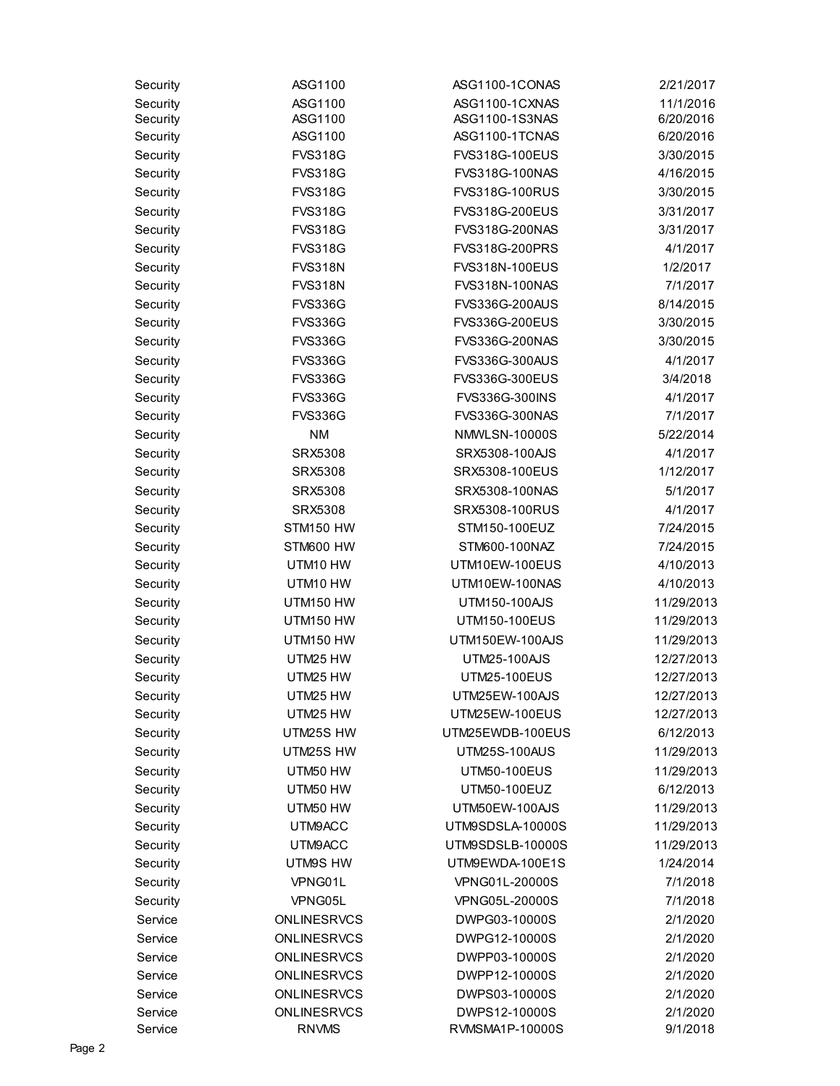| Security           | ASG1100                           | ASG1100-1CONAS                 | 2/21/2017            |
|--------------------|-----------------------------------|--------------------------------|----------------------|
| Security           | ASG1100                           | ASG1100-1CXNAS                 | 11/1/2016            |
| Security           | ASG1100                           | ASG1100-1S3NAS                 | 6/20/2016            |
| Security           | ASG1100                           | ASG1100-1TCNAS                 | 6/20/2016            |
| Security           | <b>FVS318G</b>                    | FVS318G-100EUS                 | 3/30/2015            |
| Security           | <b>FVS318G</b>                    | FVS318G-100NAS                 | 4/16/2015            |
| Security           | <b>FVS318G</b>                    | <b>FVS318G-100RUS</b>          | 3/30/2015            |
| Security           | <b>FVS318G</b>                    | FVS318G-200EUS                 | 3/31/2017            |
| Security           | <b>FVS318G</b>                    | FVS318G-200NAS                 | 3/31/2017            |
| Security           | <b>FVS318G</b>                    | FVS318G-200PRS                 | 4/1/2017             |
| Security           | <b>FVS318N</b>                    | FVS318N-100EUS                 | 1/2/2017             |
| Security           | <b>FVS318N</b>                    | FVS318N-100NAS                 | 7/1/2017             |
| Security           | <b>FVS336G</b>                    | <b>FVS336G-200AUS</b>          | 8/14/2015            |
| Security           | <b>FVS336G</b>                    | FVS336G-200EUS                 | 3/30/2015            |
| Security           | <b>FVS336G</b>                    | FVS336G-200NAS                 | 3/30/2015            |
| Security           | <b>FVS336G</b>                    | <b>FVS336G-300AUS</b>          | 4/1/2017             |
| Security           | <b>FVS336G</b>                    | FVS336G-300EUS                 | 3/4/2018             |
| Security           | <b>FVS336G</b>                    | FVS336G-300INS                 | 4/1/2017             |
| Security           | <b>FVS336G</b>                    | FVS336G-300NAS                 | 7/1/2017             |
| Security           | <b>NM</b>                         | <b>NMWLSN-10000S</b>           | 5/22/2014            |
| Security           | <b>SRX5308</b>                    | SRX5308-100AJS                 | 4/1/2017             |
| Security           | <b>SRX5308</b>                    | SRX5308-100EUS                 | 1/12/2017            |
| Security           | <b>SRX5308</b>                    | SRX5308-100NAS                 | 5/1/2017             |
| Security           | <b>SRX5308</b>                    | SRX5308-100RUS                 | 4/1/2017             |
| Security           | STM150 HW                         | STM150-100EUZ                  | 7/24/2015            |
| Security           | STM600 HW                         | STM600-100NAZ                  | 7/24/2015            |
| Security           | UTM10 HW                          | UTM10EW-100EUS                 | 4/10/2013            |
| Security           | UTM10 HW                          | UTM10EW-100NAS                 | 4/10/2013            |
| Security           | UTM150 HW                         | UTM150-100AJS                  | 11/29/2013           |
| Security           | UTM150 HW                         | UTM150-100EUS                  | 11/29/2013           |
| Security           | UTM150 HW                         | UTM150EW-100AJS                | 11/29/2013           |
| Security           | UTM25 HW                          | UTM25-100AJS                   | 12/27/2013           |
| Security           | UTM25 HW                          | UTM25-100EUS                   | 12/27/2013           |
| Security           | UTM25 HW                          | UTM25EW-100AJS                 | 12/27/2013           |
| Security           | UTM25 HW                          | UTM25EW-100EUS                 | 12/27/2013           |
| Security           | UTM25S HW                         | UTM25EWDB-100EUS               | 6/12/2013            |
| Security           | UTM25S HW                         | <b>UTM25S-100AUS</b>           | 11/29/2013           |
| Security           | UTM50 HW                          | <b>UTM50-100EUS</b>            | 11/29/2013           |
| Security           | UTM50 HW                          | UTM50-100EUZ                   | 6/12/2013            |
| Security           | UTM50 HW                          | UTM50EW-100AJS                 | 11/29/2013           |
| Security           | UTM9ACC                           | UTM9SDSLA-10000S               | 11/29/2013           |
| Security           | UTM9ACC                           | UTM9SDSLB-10000S               | 11/29/2013           |
| Security           | UTM9S HW                          | UTM9EWDA-100E1S                | 1/24/2014            |
| Security           | VPNG01L                           | VPNG01L-20000S                 | 7/1/2018             |
| Security           | VPNG05L                           | VPNG05L-20000S                 | 7/1/2018             |
| Service            |                                   | DWPG03-10000S                  |                      |
|                    | ONLINESRVCS                       |                                | 2/1/2020             |
| Service            | <b>ONLINESRVCS</b>                | DWPG12-10000S                  | 2/1/2020             |
| Service            | <b>ONLINESRVCS</b>                | DWPP03-10000S                  | 2/1/2020             |
| Service            | ONLINESRVCS                       | DWPP12-10000S                  | 2/1/2020             |
| Service<br>Service | <b>ONLINESRVCS</b><br>ONLINESRVCS | DWPS03-10000S<br>DWPS12-10000S | 2/1/2020<br>2/1/2020 |
| Service            | <b>RNVMS</b>                      | RVMSMA1P-10000S                | 9/1/2018             |
|                    |                                   |                                |                      |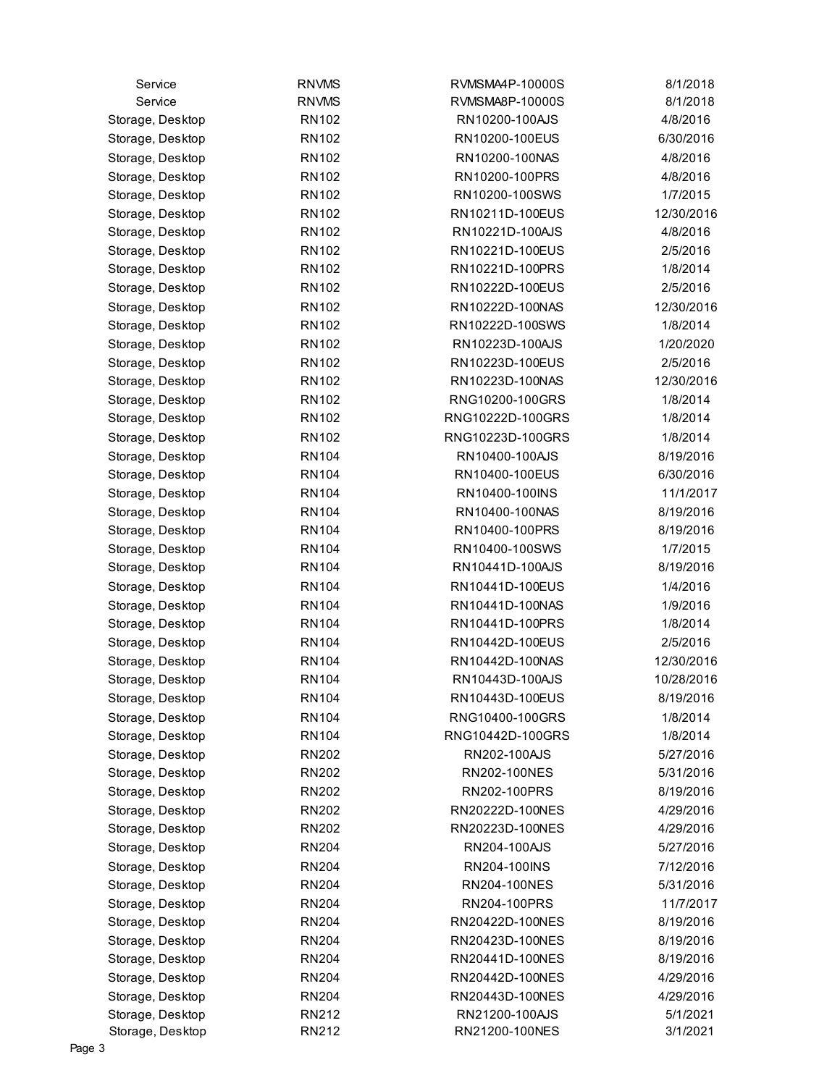| Service                              | <b>RNVMS</b>                 | RVMSMA4P-10000S                   | 8/1/2018              |
|--------------------------------------|------------------------------|-----------------------------------|-----------------------|
| Service                              | <b>RNVMS</b>                 | RVMSMA8P-10000S                   | 8/1/2018              |
| Storage, Desktop                     | <b>RN102</b>                 | RN10200-100AJS                    | 4/8/2016              |
| Storage, Desktop                     | <b>RN102</b>                 | RN10200-100EUS                    | 6/30/2016             |
| Storage, Desktop                     | <b>RN102</b>                 | RN10200-100NAS                    | 4/8/2016              |
| Storage, Desktop                     | <b>RN102</b>                 | RN10200-100PRS                    | 4/8/2016              |
| Storage, Desktop                     | <b>RN102</b>                 | RN10200-100SWS                    | 1/7/2015              |
| Storage, Desktop                     | <b>RN102</b>                 | RN10211D-100EUS                   | 12/30/2016            |
| Storage, Desktop                     | <b>RN102</b>                 | RN10221D-100AJS                   | 4/8/2016              |
| Storage, Desktop                     | <b>RN102</b>                 | RN10221D-100EUS                   | 2/5/2016              |
| Storage, Desktop                     | <b>RN102</b>                 | RN10221D-100PRS                   | 1/8/2014              |
| Storage, Desktop                     | <b>RN102</b>                 | RN10222D-100EUS                   | 2/5/2016              |
| Storage, Desktop                     | <b>RN102</b>                 | RN10222D-100NAS                   | 12/30/2016            |
| Storage, Desktop                     | <b>RN102</b>                 | RN10222D-100SWS                   | 1/8/2014              |
| Storage, Desktop                     | <b>RN102</b>                 | RN10223D-100AJS                   | 1/20/2020             |
| Storage, Desktop                     | <b>RN102</b>                 | RN10223D-100EUS                   | 2/5/2016              |
| Storage, Desktop                     | <b>RN102</b>                 | RN10223D-100NAS                   | 12/30/2016            |
| Storage, Desktop                     | <b>RN102</b>                 | RNG10200-100GRS                   | 1/8/2014              |
| Storage, Desktop                     | <b>RN102</b>                 | RNG10222D-100GRS                  | 1/8/2014              |
| Storage, Desktop                     | <b>RN102</b>                 | RNG10223D-100GRS                  | 1/8/2014              |
| Storage, Desktop                     | <b>RN104</b>                 | RN10400-100AJS                    | 8/19/2016             |
| Storage, Desktop                     | <b>RN104</b>                 | RN10400-100EUS                    | 6/30/2016             |
| Storage, Desktop                     | <b>RN104</b>                 | RN10400-100INS                    | 11/1/2017             |
| Storage, Desktop                     | <b>RN104</b>                 | RN10400-100NAS                    | 8/19/2016             |
| Storage, Desktop                     | <b>RN104</b>                 | RN10400-100PRS                    | 8/19/2016             |
| Storage, Desktop                     | <b>RN104</b>                 | RN10400-100SWS                    | 1/7/2015              |
| Storage, Desktop                     | <b>RN104</b>                 | RN10441D-100AJS                   | 8/19/2016             |
| Storage, Desktop                     | <b>RN104</b>                 | RN10441D-100EUS                   | 1/4/2016              |
| Storage, Desktop                     | <b>RN104</b>                 | RN10441D-100NAS                   | 1/9/2016              |
| Storage, Desktop                     | <b>RN104</b>                 | RN10441D-100PRS                   | 1/8/2014              |
| Storage, Desktop                     | <b>RN104</b>                 | RN10442D-100EUS                   | 2/5/2016              |
| Storage, Desktop                     | <b>RN104</b>                 | RN10442D-100NAS                   | 12/30/2016            |
| Storage, Desktop                     | <b>RN104</b>                 | RN10443D-100AJS                   | 10/28/2016            |
| Storage, Desktop                     | <b>RN104</b>                 | RN10443D-100EUS                   | 8/19/2016             |
| Storage, Desktop                     | <b>RN104</b>                 | RNG10400-100GRS                   | 1/8/2014              |
| Storage, Desktop                     | <b>RN104</b>                 | RNG10442D-100GRS                  | 1/8/2014              |
| Storage, Desktop                     | <b>RN202</b>                 | RN202-100AJS                      | 5/27/2016             |
| Storage, Desktop                     | <b>RN202</b>                 | RN202-100NES                      | 5/31/2016             |
| Storage, Desktop                     | <b>RN202</b>                 | RN202-100PRS                      | 8/19/2016             |
| Storage, Desktop                     | <b>RN202</b>                 | RN20222D-100NES                   | 4/29/2016             |
| Storage, Desktop                     | <b>RN202</b>                 | RN20223D-100NES                   | 4/29/2016             |
| Storage, Desktop                     | <b>RN204</b>                 | RN204-100AJS                      | 5/27/2016             |
|                                      | <b>RN204</b>                 | RN204-100INS                      | 7/12/2016             |
| Storage, Desktop<br>Storage, Desktop | <b>RN204</b>                 | RN204-100NES                      | 5/31/2016             |
|                                      |                              |                                   | 11/7/2017             |
| Storage, Desktop                     | <b>RN204</b><br><b>RN204</b> | RN204-100PRS<br>RN20422D-100NES   | 8/19/2016             |
| Storage, Desktop                     | <b>RN204</b>                 | RN20423D-100NES                   | 8/19/2016             |
| Storage, Desktop                     |                              |                                   |                       |
| Storage, Desktop                     | <b>RN204</b>                 | RN20441D-100NES                   | 8/19/2016             |
| Storage, Desktop                     | <b>RN204</b>                 | RN20442D-100NES                   | 4/29/2016             |
| Storage, Desktop<br>Storage, Desktop | <b>RN204</b><br>RN212        | RN20443D-100NES<br>RN21200-100AJS | 4/29/2016<br>5/1/2021 |
| Storage, Desktop                     | RN212                        | RN21200-100NES                    | 3/1/2021              |
|                                      |                              |                                   |                       |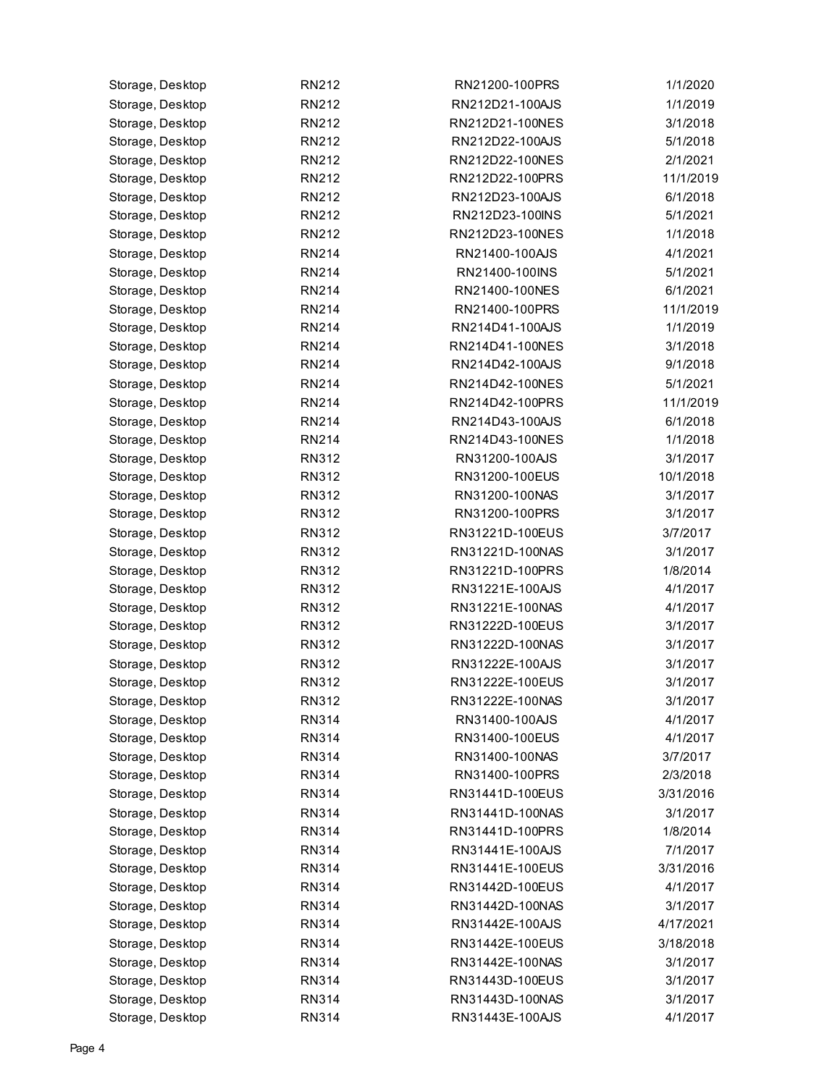| Storage, Desktop | RN212        | RN21200-100PRS  | 1/1/2020  |
|------------------|--------------|-----------------|-----------|
| Storage, Desktop | RN212        | RN212D21-100AJS | 1/1/2019  |
| Storage, Desktop | RN212        | RN212D21-100NES | 3/1/2018  |
| Storage, Desktop | RN212        | RN212D22-100AJS | 5/1/2018  |
| Storage, Desktop | RN212        | RN212D22-100NES | 2/1/2021  |
| Storage, Desktop | RN212        | RN212D22-100PRS | 11/1/2019 |
| Storage, Desktop | RN212        | RN212D23-100AJS | 6/1/2018  |
| Storage, Desktop | RN212        | RN212D23-100INS | 5/1/2021  |
| Storage, Desktop | RN212        | RN212D23-100NES | 1/1/2018  |
| Storage, Desktop | <b>RN214</b> | RN21400-100AJS  | 4/1/2021  |
| Storage, Desktop | <b>RN214</b> | RN21400-100INS  | 5/1/2021  |
| Storage, Desktop | <b>RN214</b> | RN21400-100NES  | 6/1/2021  |
| Storage, Desktop | <b>RN214</b> | RN21400-100PRS  | 11/1/2019 |
| Storage, Desktop | <b>RN214</b> | RN214D41-100AJS | 1/1/2019  |
| Storage, Desktop | <b>RN214</b> | RN214D41-100NES | 3/1/2018  |
| Storage, Desktop | <b>RN214</b> | RN214D42-100AJS | 9/1/2018  |
| Storage, Desktop | <b>RN214</b> | RN214D42-100NES | 5/1/2021  |
| Storage, Desktop | <b>RN214</b> | RN214D42-100PRS | 11/1/2019 |
| Storage, Desktop | <b>RN214</b> | RN214D43-100AJS | 6/1/2018  |
| Storage, Desktop | <b>RN214</b> | RN214D43-100NES | 1/1/2018  |
| Storage, Desktop | RN312        | RN31200-100AJS  | 3/1/2017  |
| Storage, Desktop | RN312        | RN31200-100EUS  | 10/1/2018 |
| Storage, Desktop | RN312        | RN31200-100NAS  | 3/1/2017  |
| Storage, Desktop | RN312        | RN31200-100PRS  | 3/1/2017  |
| Storage, Desktop | RN312        | RN31221D-100EUS | 3/7/2017  |
| Storage, Desktop | RN312        | RN31221D-100NAS | 3/1/2017  |
| Storage, Desktop | RN312        | RN31221D-100PRS | 1/8/2014  |
| Storage, Desktop | RN312        | RN31221E-100AJS | 4/1/2017  |
| Storage, Desktop | RN312        | RN31221E-100NAS | 4/1/2017  |
| Storage, Desktop | RN312        | RN31222D-100EUS | 3/1/2017  |
| Storage, Desktop | RN312        | RN31222D-100NAS | 3/1/2017  |
| Storage, Desktop | RN312        | RN31222E-100AJS | 3/1/2017  |
| Storage, Desktop | <b>RN312</b> | RN31222E-100EUS | 3/1/2017  |
| Storage, Desktop | RN312        | RN31222E-100NAS | 3/1/2017  |
| Storage, Desktop | <b>RN314</b> | RN31400-100AJS  | 4/1/2017  |
| Storage, Desktop | <b>RN314</b> | RN31400-100EUS  | 4/1/2017  |
| Storage, Desktop | <b>RN314</b> | RN31400-100NAS  | 3/7/2017  |
| Storage, Desktop | RN314        | RN31400-100PRS  | 2/3/2018  |
| Storage, Desktop | RN314        | RN31441D-100EUS | 3/31/2016 |
| Storage, Desktop | <b>RN314</b> | RN31441D-100NAS | 3/1/2017  |
| Storage, Desktop | <b>RN314</b> | RN31441D-100PRS | 1/8/2014  |
| Storage, Desktop | <b>RN314</b> | RN31441E-100AJS | 7/1/2017  |
| Storage, Desktop | <b>RN314</b> | RN31441E-100EUS | 3/31/2016 |
| Storage, Desktop | RN314        | RN31442D-100EUS | 4/1/2017  |
| Storage, Desktop | <b>RN314</b> | RN31442D-100NAS | 3/1/2017  |
| Storage, Desktop | RN314        | RN31442E-100AJS | 4/17/2021 |
| Storage, Desktop | <b>RN314</b> | RN31442E-100EUS | 3/18/2018 |
| Storage, Desktop | <b>RN314</b> | RN31442E-100NAS | 3/1/2017  |
| Storage, Desktop | RN314        | RN31443D-100EUS | 3/1/2017  |
| Storage, Desktop | RN314        | RN31443D-100NAS | 3/1/2017  |
| Storage, Desktop | <b>RN314</b> | RN31443E-100AJS | 4/1/2017  |
|                  |              |                 |           |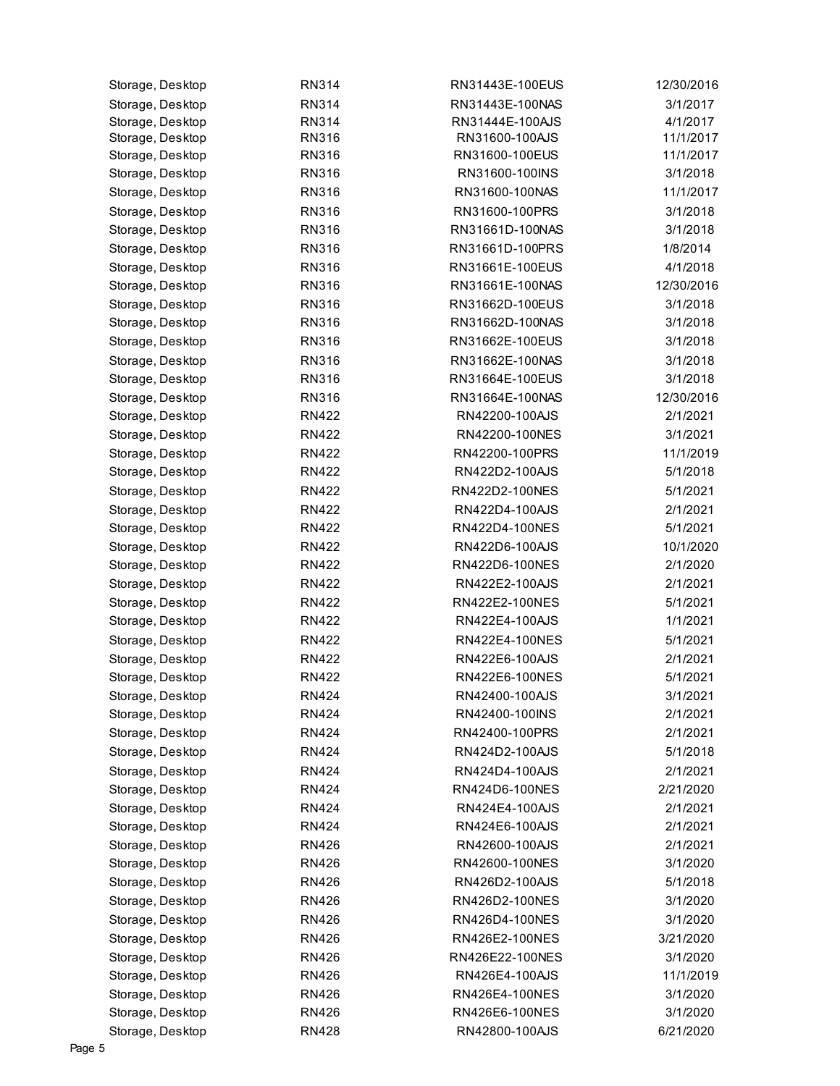| Storage, Desktop | <b>RN314</b> | RN31443E-100EUS | 12/30/2016 |
|------------------|--------------|-----------------|------------|
| Storage, Desktop | RN314        | RN31443E-100NAS | 3/1/2017   |
| Storage, Desktop | <b>RN314</b> | RN31444E-100AJS | 4/1/2017   |
| Storage, Desktop | <b>RN316</b> | RN31600-100AJS  | 11/1/2017  |
| Storage, Desktop | RN316        | RN31600-100EUS  | 11/1/2017  |
| Storage, Desktop | <b>RN316</b> | RN31600-100INS  | 3/1/2018   |
| Storage, Desktop | RN316        | RN31600-100NAS  | 11/1/2017  |
| Storage, Desktop | <b>RN316</b> | RN31600-100PRS  | 3/1/2018   |
| Storage, Desktop | RN316        | RN31661D-100NAS | 3/1/2018   |
| Storage, Desktop | RN316        | RN31661D-100PRS | 1/8/2014   |
| Storage, Desktop | RN316        | RN31661E-100EUS | 4/1/2018   |
| Storage, Desktop | <b>RN316</b> | RN31661E-100NAS | 12/30/2016 |
| Storage, Desktop | RN316        | RN31662D-100EUS | 3/1/2018   |
| Storage, Desktop | RN316        | RN31662D-100NAS | 3/1/2018   |
| Storage, Desktop | RN316        | RN31662E-100EUS | 3/1/2018   |
| Storage, Desktop | <b>RN316</b> | RN31662E-100NAS | 3/1/2018   |
| Storage, Desktop | RN316        | RN31664E-100EUS | 3/1/2018   |
| Storage, Desktop | RN316        | RN31664E-100NAS | 12/30/2016 |
| Storage, Desktop | <b>RN422</b> | RN42200-100AJS  | 2/1/2021   |
| Storage, Desktop | <b>RN422</b> | RN42200-100NES  | 3/1/2021   |
| Storage, Desktop | <b>RN422</b> | RN42200-100PRS  | 11/1/2019  |
| Storage, Desktop | <b>RN422</b> | RN422D2-100AJS  | 5/1/2018   |
| Storage, Desktop | <b>RN422</b> | RN422D2-100NES  | 5/1/2021   |
| Storage, Desktop | <b>RN422</b> | RN422D4-100AJS  | 2/1/2021   |
| Storage, Desktop | <b>RN422</b> | RN422D4-100NES  | 5/1/2021   |
| Storage, Desktop | <b>RN422</b> | RN422D6-100AJS  | 10/1/2020  |
| Storage, Desktop | <b>RN422</b> | RN422D6-100NES  | 2/1/2020   |
| Storage, Desktop | <b>RN422</b> | RN422E2-100AJS  | 2/1/2021   |
| Storage, Desktop | <b>RN422</b> | RN422E2-100NES  | 5/1/2021   |
| Storage, Desktop | <b>RN422</b> | RN422E4-100AJS  | 1/1/2021   |
| Storage, Desktop | <b>RN422</b> | RN422E4-100NES  | 5/1/2021   |
| Storage, Desktop | <b>RN422</b> | RN422E6-100AJS  | 2/1/2021   |
| Storage, Desktop | <b>RN422</b> | RN422E6-100NES  | 5/1/2021   |
| Storage, Desktop | <b>RN424</b> | RN42400-100AJS  | 3/1/2021   |
| Storage, Desktop | <b>RN424</b> | RN42400-100INS  | 2/1/2021   |
| Storage, Desktop | <b>RN424</b> | RN42400-100PRS  | 2/1/2021   |
| Storage, Desktop | <b>RN424</b> | RN424D2-100AJS  | 5/1/2018   |
| Storage, Desktop | <b>RN424</b> | RN424D4-100AJS  | 2/1/2021   |
| Storage, Desktop | <b>RN424</b> | RN424D6-100NES  | 2/21/2020  |
| Storage, Desktop | <b>RN424</b> | RN424E4-100AJS  | 2/1/2021   |
| Storage, Desktop | <b>RN424</b> | RN424E6-100AJS  | 2/1/2021   |
|                  |              | RN42600-100AJS  | 2/1/2021   |
| Storage, Desktop | <b>RN426</b> |                 |            |
| Storage, Desktop | <b>RN426</b> | RN42600-100NES  | 3/1/2020   |
| Storage, Desktop | <b>RN426</b> | RN426D2-100AJS  | 5/1/2018   |
| Storage, Desktop | <b>RN426</b> | RN426D2-100NES  | 3/1/2020   |
| Storage, Desktop | <b>RN426</b> | RN426D4-100NES  | 3/1/2020   |
| Storage, Desktop | <b>RN426</b> | RN426E2-100NES  | 3/21/2020  |
| Storage, Desktop | <b>RN426</b> | RN426E22-100NES | 3/1/2020   |
| Storage, Desktop | <b>RN426</b> | RN426E4-100AJS  | 11/1/2019  |
| Storage, Desktop | <b>RN426</b> | RN426E4-100NES  | 3/1/2020   |
| Storage, Desktop | <b>RN426</b> | RN426E6-100NES  | 3/1/2020   |
| Storage, Desktop | <b>RN428</b> | RN42800-100AJS  | 6/21/2020  |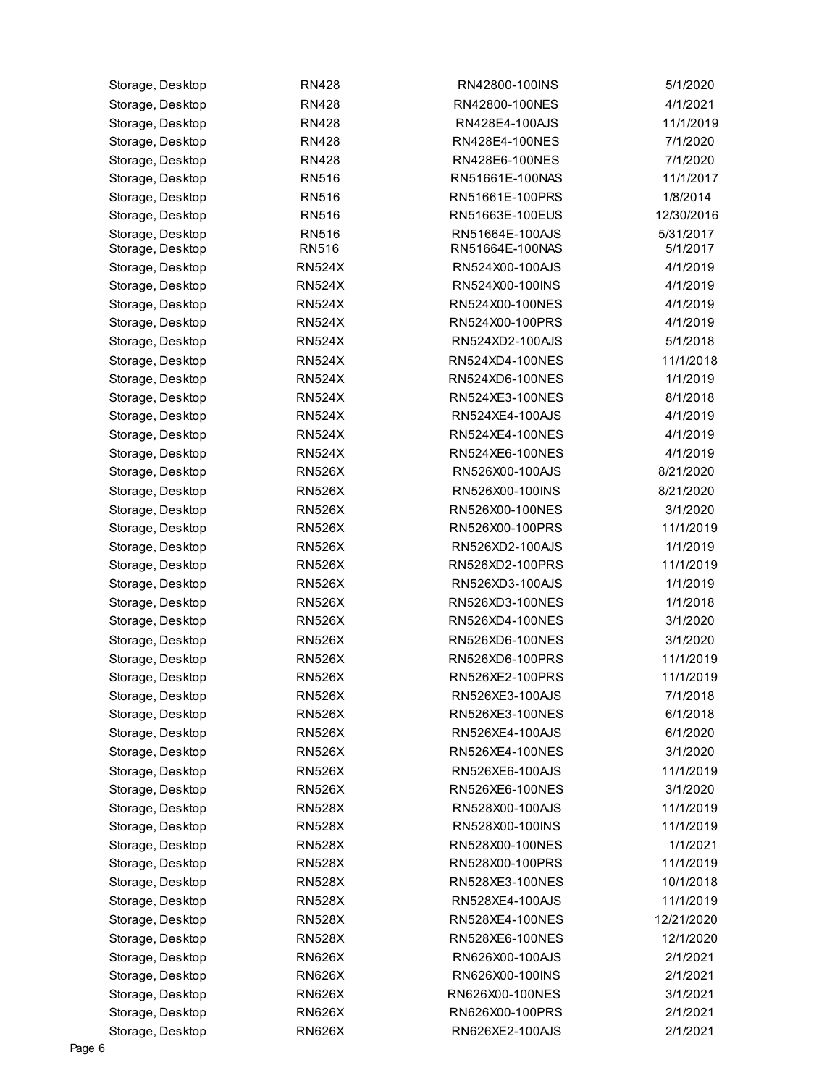| Storage, Desktop | <b>RN428</b>  | RN42800-100INS  | 5/1/2020   |
|------------------|---------------|-----------------|------------|
| Storage, Desktop | <b>RN428</b>  | RN42800-100NES  | 4/1/2021   |
| Storage, Desktop | <b>RN428</b>  | RN428E4-100AJS  | 11/1/2019  |
| Storage, Desktop | <b>RN428</b>  | RN428E4-100NES  | 7/1/2020   |
| Storage, Desktop | <b>RN428</b>  | RN428E6-100NES  | 7/1/2020   |
| Storage, Desktop | <b>RN516</b>  | RN51661E-100NAS | 11/1/2017  |
| Storage, Desktop | <b>RN516</b>  | RN51661E-100PRS | 1/8/2014   |
| Storage, Desktop | <b>RN516</b>  | RN51663E-100EUS | 12/30/2016 |
| Storage, Desktop | <b>RN516</b>  | RN51664E-100AJS | 5/31/2017  |
| Storage, Desktop | RN516         | RN51664E-100NAS | 5/1/2017   |
| Storage, Desktop | <b>RN524X</b> | RN524X00-100AJS | 4/1/2019   |
| Storage, Desktop | <b>RN524X</b> | RN524X00-100INS | 4/1/2019   |
| Storage, Desktop | <b>RN524X</b> | RN524X00-100NES | 4/1/2019   |
| Storage, Desktop | <b>RN524X</b> | RN524X00-100PRS | 4/1/2019   |
| Storage, Desktop | <b>RN524X</b> | RN524XD2-100AJS | 5/1/2018   |
| Storage, Desktop | <b>RN524X</b> | RN524XD4-100NES | 11/1/2018  |
| Storage, Desktop | <b>RN524X</b> | RN524XD6-100NES | 1/1/2019   |
| Storage, Desktop | <b>RN524X</b> | RN524XE3-100NES | 8/1/2018   |
| Storage, Desktop | <b>RN524X</b> | RN524XE4-100AJS | 4/1/2019   |
| Storage, Desktop | <b>RN524X</b> | RN524XE4-100NES | 4/1/2019   |
| Storage, Desktop | <b>RN524X</b> | RN524XE6-100NES | 4/1/2019   |
| Storage, Desktop | <b>RN526X</b> | RN526X00-100AJS | 8/21/2020  |
| Storage, Desktop | <b>RN526X</b> | RN526X00-100INS | 8/21/2020  |
| Storage, Desktop | <b>RN526X</b> | RN526X00-100NES | 3/1/2020   |
| Storage, Desktop | <b>RN526X</b> | RN526X00-100PRS | 11/1/2019  |
| Storage, Desktop | <b>RN526X</b> | RN526XD2-100AJS | 1/1/2019   |
| Storage, Desktop | <b>RN526X</b> | RN526XD2-100PRS | 11/1/2019  |
| Storage, Desktop | <b>RN526X</b> | RN526XD3-100AJS | 1/1/2019   |
| Storage, Desktop | <b>RN526X</b> | RN526XD3-100NES | 1/1/2018   |
| Storage, Desktop | <b>RN526X</b> | RN526XD4-100NES | 3/1/2020   |
| Storage, Desktop | <b>RN526X</b> | RN526XD6-100NES | 3/1/2020   |
| Storage, Desktop | <b>RN526X</b> | RN526XD6-100PRS | 11/1/2019  |
| Storage, Desktop | <b>RN526X</b> | RN526XE2-100PRS | 11/1/2019  |
| Storage, Desktop | <b>RN526X</b> | RN526XE3-100AJS | 7/1/2018   |
| Storage, Desktop | <b>RN526X</b> | RN526XE3-100NES | 6/1/2018   |
| Storage, Desktop | <b>RN526X</b> | RN526XE4-100AJS | 6/1/2020   |
| Storage, Desktop | <b>RN526X</b> | RN526XE4-100NES | 3/1/2020   |
| Storage, Desktop | <b>RN526X</b> | RN526XE6-100AJS | 11/1/2019  |
| Storage, Desktop | <b>RN526X</b> | RN526XE6-100NES | 3/1/2020   |
| Storage, Desktop | <b>RN528X</b> | RN528X00-100AJS | 11/1/2019  |
| Storage, Desktop | <b>RN528X</b> | RN528X00-100INS | 11/1/2019  |
| Storage, Desktop | <b>RN528X</b> | RN528X00-100NES | 1/1/2021   |
| Storage, Desktop | <b>RN528X</b> | RN528X00-100PRS | 11/1/2019  |
| Storage, Desktop | <b>RN528X</b> | RN528XE3-100NES | 10/1/2018  |
| Storage, Desktop | <b>RN528X</b> | RN528XE4-100AJS | 11/1/2019  |
| Storage, Desktop | <b>RN528X</b> | RN528XE4-100NES | 12/21/2020 |
| Storage, Desktop | <b>RN528X</b> | RN528XE6-100NES | 12/1/2020  |
| Storage, Desktop | <b>RN626X</b> | RN626X00-100AJS | 2/1/2021   |
| Storage, Desktop | <b>RN626X</b> | RN626X00-100INS | 2/1/2021   |
| Storage, Desktop | <b>RN626X</b> | RN626X00-100NES | 3/1/2021   |
| Storage, Desktop | <b>RN626X</b> | RN626X00-100PRS | 2/1/2021   |
| Storage, Desktop | <b>RN626X</b> | RN626XE2-100AJS | 2/1/2021   |
|                  |               |                 |            |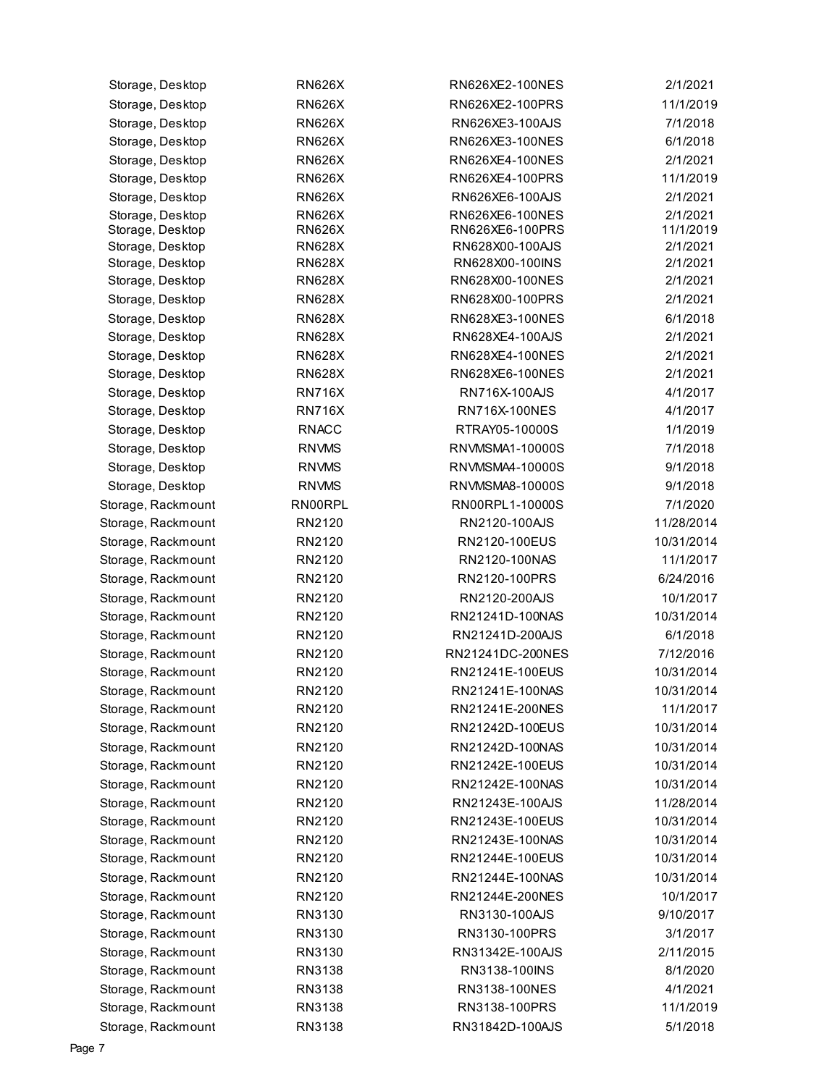| Storage, Desktop   | <b>RN626X</b> | RN626XE2-100NES  | 2/1/2021   |
|--------------------|---------------|------------------|------------|
| Storage, Desktop   | <b>RN626X</b> | RN626XE2-100PRS  | 11/1/2019  |
| Storage, Desktop   | <b>RN626X</b> | RN626XE3-100AJS  | 7/1/2018   |
| Storage, Desktop   | <b>RN626X</b> | RN626XE3-100NES  | 6/1/2018   |
| Storage, Desktop   | <b>RN626X</b> | RN626XE4-100NES  | 2/1/2021   |
| Storage, Desktop   | <b>RN626X</b> | RN626XE4-100PRS  | 11/1/2019  |
| Storage, Desktop   | <b>RN626X</b> | RN626XE6-100AJS  | 2/1/2021   |
| Storage, Desktop   | <b>RN626X</b> | RN626XE6-100NES  | 2/1/2021   |
| Storage, Desktop   | <b>RN626X</b> | RN626XE6-100PRS  | 11/1/2019  |
| Storage, Desktop   | <b>RN628X</b> | RN628X00-100AJS  | 2/1/2021   |
| Storage, Desktop   | <b>RN628X</b> | RN628X00-100INS  | 2/1/2021   |
| Storage, Desktop   | <b>RN628X</b> | RN628X00-100NES  | 2/1/2021   |
| Storage, Desktop   | <b>RN628X</b> | RN628X00-100PRS  | 2/1/2021   |
| Storage, Desktop   | <b>RN628X</b> | RN628XE3-100NES  | 6/1/2018   |
| Storage, Desktop   | <b>RN628X</b> | RN628XE4-100AJS  | 2/1/2021   |
| Storage, Desktop   | <b>RN628X</b> | RN628XE4-100NES  | 2/1/2021   |
| Storage, Desktop   | <b>RN628X</b> | RN628XE6-100NES  | 2/1/2021   |
| Storage, Desktop   | <b>RN716X</b> | RN716X-100AJS    | 4/1/2017   |
| Storage, Desktop   | <b>RN716X</b> | RN716X-100NES    | 4/1/2017   |
| Storage, Desktop   | <b>RNACC</b>  | RTRAY05-10000S   | 1/1/2019   |
| Storage, Desktop   | <b>RNVMS</b>  | RNVMSMA1-10000S  | 7/1/2018   |
| Storage, Desktop   | <b>RNVMS</b>  | RNVMSMA4-10000S  | 9/1/2018   |
| Storage, Desktop   | <b>RNVMS</b>  | RNVMSMA8-10000S  | 9/1/2018   |
| Storage, Rackmount | RN00RPL       | RN00RPL1-10000S  | 7/1/2020   |
| Storage, Rackmount | RN2120        | RN2120-100AJS    | 11/28/2014 |
| Storage, Rackmount | RN2120        | RN2120-100EUS    | 10/31/2014 |
| Storage, Rackmount | RN2120        | RN2120-100NAS    | 11/1/2017  |
| Storage, Rackmount | RN2120        | RN2120-100PRS    | 6/24/2016  |
| Storage, Rackmount | RN2120        | RN2120-200AJS    | 10/1/2017  |
| Storage, Rackmount | RN2120        | RN21241D-100NAS  | 10/31/2014 |
| Storage, Rackmount | RN2120        | RN21241D-200AJS  | 6/1/2018   |
| Storage, Rackmount | RN2120        | RN21241DC-200NES | 7/12/2016  |
| Storage, Rackmount | RN2120        | RN21241E-100EUS  | 10/31/2014 |
| Storage, Rackmount | RN2120        | RN21241F-100NAS  | 10/31/2014 |
| Storage, Rackmount | RN2120        | RN21241E-200NES  | 11/1/2017  |
| Storage, Rackmount | RN2120        | RN21242D-100EUS  | 10/31/2014 |
| Storage, Rackmount | RN2120        | RN21242D-100NAS  | 10/31/2014 |
| Storage, Rackmount | RN2120        | RN21242E-100EUS  | 10/31/2014 |
| Storage, Rackmount | RN2120        | RN21242E-100NAS  | 10/31/2014 |
| Storage, Rackmount | RN2120        | RN21243E-100AJS  | 11/28/2014 |
| Storage, Rackmount | RN2120        | RN21243E-100EUS  | 10/31/2014 |
| Storage, Rackmount | RN2120        | RN21243E-100NAS  | 10/31/2014 |
| Storage, Rackmount | RN2120        | RN21244E-100EUS  | 10/31/2014 |
| Storage, Rackmount | RN2120        | RN21244E-100NAS  | 10/31/2014 |
| Storage, Rackmount | RN2120        | RN21244E-200NES  | 10/1/2017  |
| Storage, Rackmount | RN3130        | RN3130-100AJS    | 9/10/2017  |
| Storage, Rackmount | RN3130        | RN3130-100PRS    | 3/1/2017   |
| Storage, Rackmount | RN3130        | RN31342E-100AJS  | 2/11/2015  |
| Storage, Rackmount | RN3138        | RN3138-100INS    | 8/1/2020   |
| Storage, Rackmount | RN3138        | RN3138-100NES    | 4/1/2021   |
| Storage, Rackmount | RN3138        | RN3138-100PRS    | 11/1/2019  |
| Storage, Rackmount | RN3138        | RN31842D-100AJS  | 5/1/2018   |
|                    |               |                  |            |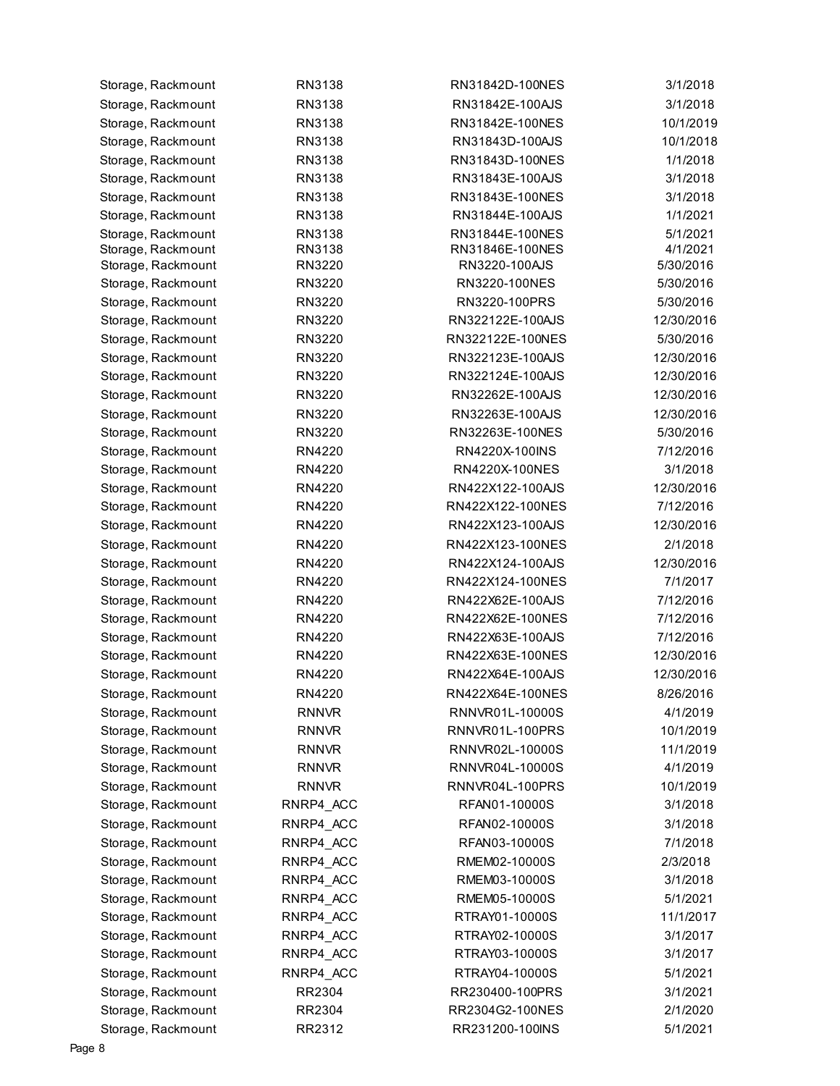| Storage, Rackmount | RN3138       | RN31842D-100NES  | 3/1/2018             |
|--------------------|--------------|------------------|----------------------|
| Storage, Rackmount | RN3138       | RN31842E-100AJS  | 3/1/2018             |
| Storage, Rackmount | RN3138       | RN31842E-100NES  | 10/1/2019            |
| Storage, Rackmount | RN3138       | RN31843D-100AJS  | 10/1/2018            |
| Storage, Rackmount | RN3138       | RN31843D-100NES  | 1/1/2018             |
| Storage, Rackmount | RN3138       | RN31843E-100AJS  | 3/1/2018             |
| Storage, Rackmount | RN3138       | RN31843E-100NES  | 3/1/2018             |
| Storage, Rackmount | RN3138       | RN31844E-100AJS  | 1/1/2021             |
| Storage, Rackmount | RN3138       | RN31844E-100NES  | 5/1/2021             |
| Storage, Rackmount | RN3138       | RN31846E-100NES  | 4/1/2021             |
| Storage, Rackmount | RN3220       | RN3220-100AJS    | 5/30/2016            |
| Storage, Rackmount | RN3220       | RN3220-100NES    | 5/30/2016            |
| Storage, Rackmount | RN3220       | RN3220-100PRS    | 5/30/2016            |
| Storage, Rackmount | RN3220       | RN322122E-100AJS | 12/30/2016           |
| Storage, Rackmount | RN3220       | RN322122E-100NES | 5/30/2016            |
| Storage, Rackmount | RN3220       | RN322123E-100AJS | 12/30/2016           |
| Storage, Rackmount | RN3220       | RN322124E-100AJS | 12/30/2016           |
| Storage, Rackmount | RN3220       | RN32262E-100AJS  | 12/30/2016           |
| Storage, Rackmount | RN3220       | RN32263E-100AJS  | 12/30/2016           |
| Storage, Rackmount | RN3220       | RN32263E-100NES  | 5/30/2016            |
| Storage, Rackmount | RN4220       | RN4220X-100INS   | 7/12/2016            |
| Storage, Rackmount | RN4220       | RN4220X-100NES   | 3/1/2018             |
| Storage, Rackmount | RN4220       | RN422X122-100AJS | 12/30/2016           |
| Storage, Rackmount | RN4220       | RN422X122-100NES | 7/12/2016            |
| Storage, Rackmount | RN4220       | RN422X123-100AJS | 12/30/2016           |
| Storage, Rackmount | RN4220       | RN422X123-100NES | 2/1/2018             |
| Storage, Rackmount | RN4220       | RN422X124-100AJS | 12/30/2016           |
| Storage, Rackmount | RN4220       | RN422X124-100NES | 7/1/2017             |
| Storage, Rackmount | RN4220       | RN422X62E-100AJS | 7/12/2016            |
| Storage, Rackmount | RN4220       | RN422X62E-100NES | 7/12/2016            |
| Storage, Rackmount | RN4220       | RN422X63E-100AJS | 7/12/2016            |
| Storage, Rackmount | RN4220       | RN422X63E-100NES | 12/30/2016           |
| Storage, Rackmount | RN4220       | RN422X64E-100AJS | 12/30/2016           |
| Storage, Rackmount | RN4220       | RN422X64E-100NES | 8/26/2016            |
| Storage, Rackmount | <b>RNNVR</b> | RNNVR01L-10000S  | 4/1/2019             |
| Storage, Rackmount | <b>RNNVR</b> | RNNVR01L-100PRS  | 10/1/2019            |
| Storage, Rackmount | <b>RNNVR</b> | RNNVR02L-10000S  | 11/1/2019            |
| Storage, Rackmount | <b>RNNVR</b> | RNNVR04L-10000S  | 4/1/2019             |
| Storage, Rackmount | <b>RNNVR</b> | RNNVR04L-100PRS  | 10/1/2019            |
| Storage, Rackmount | RNRP4_ACC    | RFAN01-10000S    | 3/1/2018             |
| Storage, Rackmount | RNRP4_ACC    | RFAN02-10000S    | 3/1/2018             |
| Storage, Rackmount | RNRP4 ACC    | RFAN03-10000S    | 7/1/2018             |
| Storage, Rackmount | RNRP4 ACC    | RMEM02-10000S    | 2/3/2018             |
| Storage, Rackmount | RNRP4_ACC    | RMEM03-10000S    | 3/1/2018             |
| Storage, Rackmount | RNRP4_ACC    | RMEM05-10000S    | 5/1/2021             |
| Storage, Rackmount | RNRP4_ACC    | RTRAY01-10000S   | 11/1/2017            |
| Storage, Rackmount | RNRP4_ACC    | RTRAY02-10000S   | 3/1/2017             |
| Storage, Rackmount | RNRP4_ACC    | RTRAY03-10000S   | 3/1/2017             |
|                    | RNRP4 ACC    | RTRAY04-10000S   |                      |
| Storage, Rackmount | RR2304       | RR230400-100PRS  | 5/1/2021<br>3/1/2021 |
| Storage, Rackmount |              |                  |                      |
| Storage, Rackmount | RR2304       | RR2304G2-100NES  | 2/1/2020             |
| Storage, Rackmount | RR2312       | RR231200-100INS  | 5/1/2021             |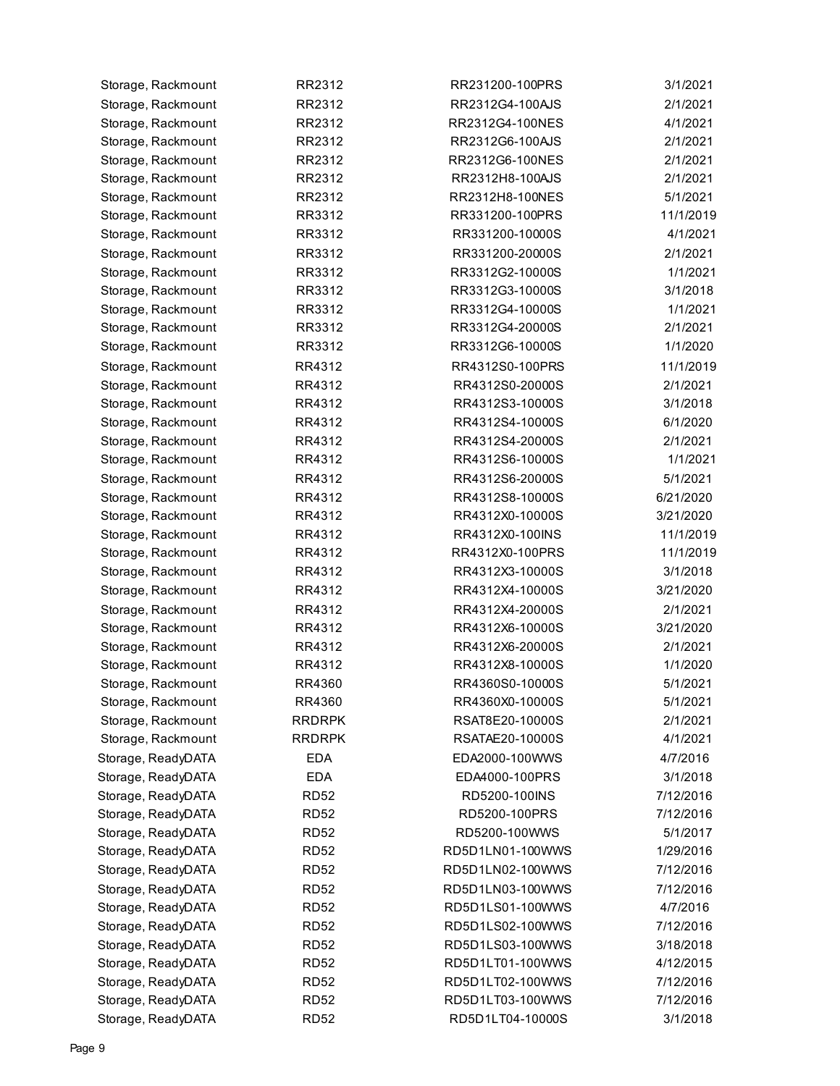| Storage, Rackmount | RR2312        | RR231200-100PRS  | 3/1/2021  |
|--------------------|---------------|------------------|-----------|
| Storage, Rackmount | RR2312        | RR2312G4-100AJS  | 2/1/2021  |
| Storage, Rackmount | RR2312        | RR2312G4-100NES  | 4/1/2021  |
| Storage, Rackmount | RR2312        | RR2312G6-100AJS  | 2/1/2021  |
| Storage, Rackmount | RR2312        | RR2312G6-100NES  | 2/1/2021  |
| Storage, Rackmount | RR2312        | RR2312H8-100AJS  | 2/1/2021  |
| Storage, Rackmount | RR2312        | RR2312H8-100NES  | 5/1/2021  |
| Storage, Rackmount | RR3312        | RR331200-100PRS  | 11/1/2019 |
| Storage, Rackmount | RR3312        | RR331200-10000S  | 4/1/2021  |
| Storage, Rackmount | RR3312        | RR331200-20000S  | 2/1/2021  |
| Storage, Rackmount | RR3312        | RR3312G2-10000S  | 1/1/2021  |
| Storage, Rackmount | RR3312        | RR3312G3-10000S  | 3/1/2018  |
| Storage, Rackmount | RR3312        | RR3312G4-10000S  | 1/1/2021  |
| Storage, Rackmount | RR3312        | RR3312G4-20000S  | 2/1/2021  |
| Storage, Rackmount | RR3312        | RR3312G6-10000S  | 1/1/2020  |
| Storage, Rackmount | RR4312        | RR4312S0-100PRS  | 11/1/2019 |
| Storage, Rackmount | RR4312        | RR4312S0-20000S  | 2/1/2021  |
| Storage, Rackmount | RR4312        | RR4312S3-10000S  | 3/1/2018  |
| Storage, Rackmount | RR4312        | RR4312S4-10000S  | 6/1/2020  |
| Storage, Rackmount | RR4312        | RR4312S4-20000S  | 2/1/2021  |
| Storage, Rackmount | RR4312        | RR4312S6-10000S  | 1/1/2021  |
| Storage, Rackmount | RR4312        | RR4312S6-20000S  | 5/1/2021  |
| Storage, Rackmount | RR4312        | RR4312S8-10000S  | 6/21/2020 |
| Storage, Rackmount | RR4312        | RR4312X0-10000S  | 3/21/2020 |
| Storage, Rackmount | RR4312        | RR4312X0-100INS  | 11/1/2019 |
| Storage, Rackmount | RR4312        | RR4312X0-100PRS  | 11/1/2019 |
| Storage, Rackmount | RR4312        | RR4312X3-10000S  | 3/1/2018  |
| Storage, Rackmount | RR4312        | RR4312X4-10000S  | 3/21/2020 |
| Storage, Rackmount | RR4312        | RR4312X4-20000S  | 2/1/2021  |
| Storage, Rackmount | RR4312        | RR4312X6-10000S  | 3/21/2020 |
| Storage, Rackmount | RR4312        | RR4312X6-20000S  | 2/1/2021  |
| Storage, Rackmount | RR4312        | RR4312X8-10000S  | 1/1/2020  |
| Storage, Rackmount | RR4360        | RR4360S0-10000S  | 5/1/2021  |
| Storage, Rackmount | RR4360        | RR4360X0-10000S  | 5/1/2021  |
| Storage, Rackmount | <b>RRDRPK</b> | RSAT8E20-10000S  | 2/1/2021  |
| Storage, Rackmount | <b>RRDRPK</b> | RSATAE20-10000S  | 4/1/2021  |
| Storage, ReadyDATA | <b>EDA</b>    | EDA2000-100WWS   | 4/7/2016  |
| Storage, ReadyDATA | <b>EDA</b>    | EDA4000-100PRS   | 3/1/2018  |
| Storage, ReadyDATA | <b>RD52</b>   | RD5200-100INS    | 7/12/2016 |
| Storage, ReadyDATA | <b>RD52</b>   | RD5200-100PRS    | 7/12/2016 |
| Storage, ReadyDATA | <b>RD52</b>   | RD5200-100WWS    | 5/1/2017  |
| Storage, ReadyDATA | <b>RD52</b>   | RD5D1LN01-100WWS | 1/29/2016 |
| Storage, ReadyDATA | <b>RD52</b>   | RD5D1LN02-100WWS | 7/12/2016 |
| Storage, ReadyDATA | <b>RD52</b>   | RD5D1LN03-100WWS | 7/12/2016 |
| Storage, ReadyDATA | <b>RD52</b>   | RD5D1LS01-100WWS | 4/7/2016  |
| Storage, ReadyDATA | <b>RD52</b>   | RD5D1LS02-100WWS | 7/12/2016 |
| Storage, ReadyDATA | <b>RD52</b>   | RD5D1LS03-100WWS | 3/18/2018 |
| Storage, ReadyDATA | <b>RD52</b>   | RD5D1LT01-100WWS | 4/12/2015 |
| Storage, ReadyDATA | <b>RD52</b>   | RD5D1LT02-100WWS | 7/12/2016 |
| Storage, ReadyDATA | <b>RD52</b>   | RD5D1LT03-100WWS | 7/12/2016 |
| Storage, ReadyDATA | <b>RD52</b>   | RD5D1LT04-10000S | 3/1/2018  |
|                    |               |                  |           |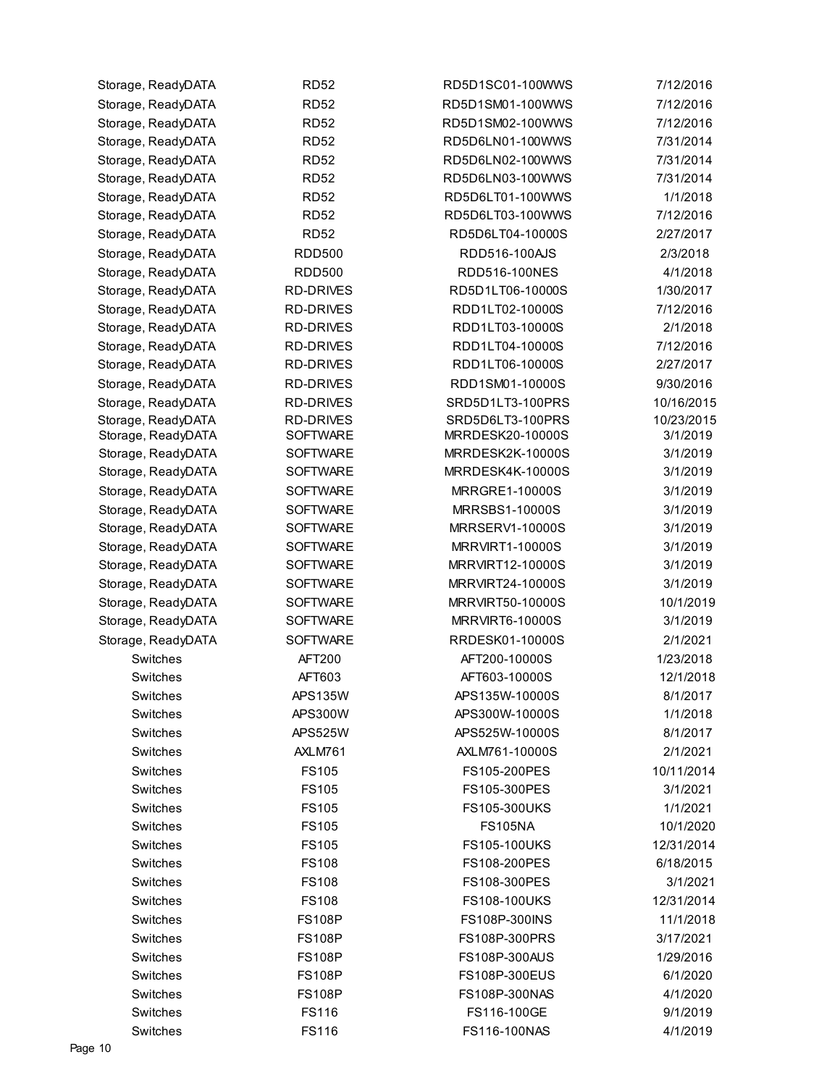| Storage, ReadyDATA | <b>RD52</b>      | RD5D1SC01-100WWS       | 7/12/2016  |
|--------------------|------------------|------------------------|------------|
| Storage, ReadyDATA | <b>RD52</b>      | RD5D1SM01-100WWS       | 7/12/2016  |
| Storage, ReadyDATA | <b>RD52</b>      | RD5D1SM02-100WWS       | 7/12/2016  |
| Storage, ReadyDATA | <b>RD52</b>      | RD5D6LN01-100WWS       | 7/31/2014  |
| Storage, ReadyDATA | <b>RD52</b>      | RD5D6LN02-100WWS       | 7/31/2014  |
| Storage, ReadyDATA | <b>RD52</b>      | RD5D6LN03-100WWS       | 7/31/2014  |
| Storage, ReadyDATA | <b>RD52</b>      | RD5D6LT01-100WWS       | 1/1/2018   |
| Storage, ReadyDATA | <b>RD52</b>      | RD5D6LT03-100WWS       | 7/12/2016  |
| Storage, ReadyDATA | <b>RD52</b>      | RD5D6LT04-10000S       | 2/27/2017  |
| Storage, ReadyDATA | <b>RDD500</b>    | RDD516-100AJS          | 2/3/2018   |
| Storage, ReadyDATA | <b>RDD500</b>    | RDD516-100NES          | 4/1/2018   |
| Storage, ReadyDATA | <b>RD-DRIVES</b> | RD5D1LT06-10000S       | 1/30/2017  |
| Storage, ReadyDATA | <b>RD-DRIVES</b> | RDD1LT02-10000S        | 7/12/2016  |
| Storage, ReadyDATA | <b>RD-DRIVES</b> | RDD1LT03-10000S        | 2/1/2018   |
| Storage, ReadyDATA | <b>RD-DRIVES</b> | RDD1LT04-10000S        | 7/12/2016  |
| Storage, ReadyDATA | <b>RD-DRIVES</b> | RDD1LT06-10000S        | 2/27/2017  |
| Storage, ReadyDATA | <b>RD-DRIVES</b> | RDD1SM01-10000S        | 9/30/2016  |
| Storage, ReadyDATA | <b>RD-DRIVES</b> | SRD5D1LT3-100PRS       | 10/16/2015 |
| Storage, ReadyDATA | <b>RD-DRIVES</b> | SRD5D6LT3-100PRS       | 10/23/2015 |
| Storage, ReadyDATA | <b>SOFTWARE</b>  | MRRDESK20-10000S       | 3/1/2019   |
| Storage, ReadyDATA | <b>SOFTWARE</b>  | MRRDESK2K-10000S       | 3/1/2019   |
| Storage, ReadyDATA | <b>SOFTWARE</b>  | MRRDESK4K-10000S       | 3/1/2019   |
| Storage, ReadyDATA | <b>SOFTWARE</b>  | <b>MRRGRE1-10000S</b>  | 3/1/2019   |
| Storage, ReadyDATA | <b>SOFTWARE</b>  | <b>MRRSBS1-10000S</b>  | 3/1/2019   |
| Storage, ReadyDATA | <b>SOFTWARE</b>  | MRRSERV1-10000S        | 3/1/2019   |
| Storage, ReadyDATA | <b>SOFTWARE</b>  | <b>MRRVIRT1-10000S</b> | 3/1/2019   |
| Storage, ReadyDATA | <b>SOFTWARE</b>  | MRRVIRT12-10000S       | 3/1/2019   |
| Storage, ReadyDATA | <b>SOFTWARE</b>  | MRRVIRT24-10000S       | 3/1/2019   |
| Storage, ReadyDATA | <b>SOFTWARE</b>  | MRRVIRT50-10000S       | 10/1/2019  |
| Storage, ReadyDATA | <b>SOFTWARE</b>  | <b>MRRVIRT6-10000S</b> | 3/1/2019   |
| Storage, ReadyDATA | <b>SOFTWARE</b>  | RRDESK01-10000S        | 2/1/2021   |
| Switches           | AFT200           | AFT200-10000S          | 1/23/2018  |
| Switches           | AFT603           | AFT603-10000S          | 12/1/2018  |
| Switches           | <b>APS135W</b>   | APS135W-10000S         | 8/1/2017   |
| Switches           | <b>APS300W</b>   | APS300W-10000S         | 1/1/2018   |
| Switches           | <b>APS525W</b>   | APS525W-10000S         | 8/1/2017   |
| Switches           | AXLM761          | AXLM761-10000S         | 2/1/2021   |
| Switches           | <b>FS105</b>     | FS105-200PES           | 10/11/2014 |
| Switches           | <b>FS105</b>     | FS105-300PES           | 3/1/2021   |
| Switches           | <b>FS105</b>     | <b>FS105-300UKS</b>    | 1/1/2021   |
| Switches           | <b>FS105</b>     | <b>FS105NA</b>         | 10/1/2020  |
| Switches           | <b>FS105</b>     | <b>FS105-100UKS</b>    | 12/31/2014 |
| Switches           | <b>FS108</b>     | FS108-200PES           | 6/18/2015  |
| Switches           | <b>FS108</b>     | FS108-300PES           | 3/1/2021   |
| Switches           | <b>FS108</b>     | <b>FS108-100UKS</b>    | 12/31/2014 |
| Switches           | <b>FS108P</b>    | FS108P-300INS          | 11/1/2018  |
| Switches           | <b>FS108P</b>    | FS108P-300PRS          | 3/17/2021  |
| Switches           | <b>FS108P</b>    | FS108P-300AUS          | 1/29/2016  |
| Switches           | <b>FS108P</b>    | FS108P-300EUS          | 6/1/2020   |
| Switches           | <b>FS108P</b>    | FS108P-300NAS          | 4/1/2020   |
| Switches           | <b>FS116</b>     | FS116-100GE            | 9/1/2019   |
| Switches           | <b>FS116</b>     | FS116-100NAS           | 4/1/2019   |
|                    |                  |                        |            |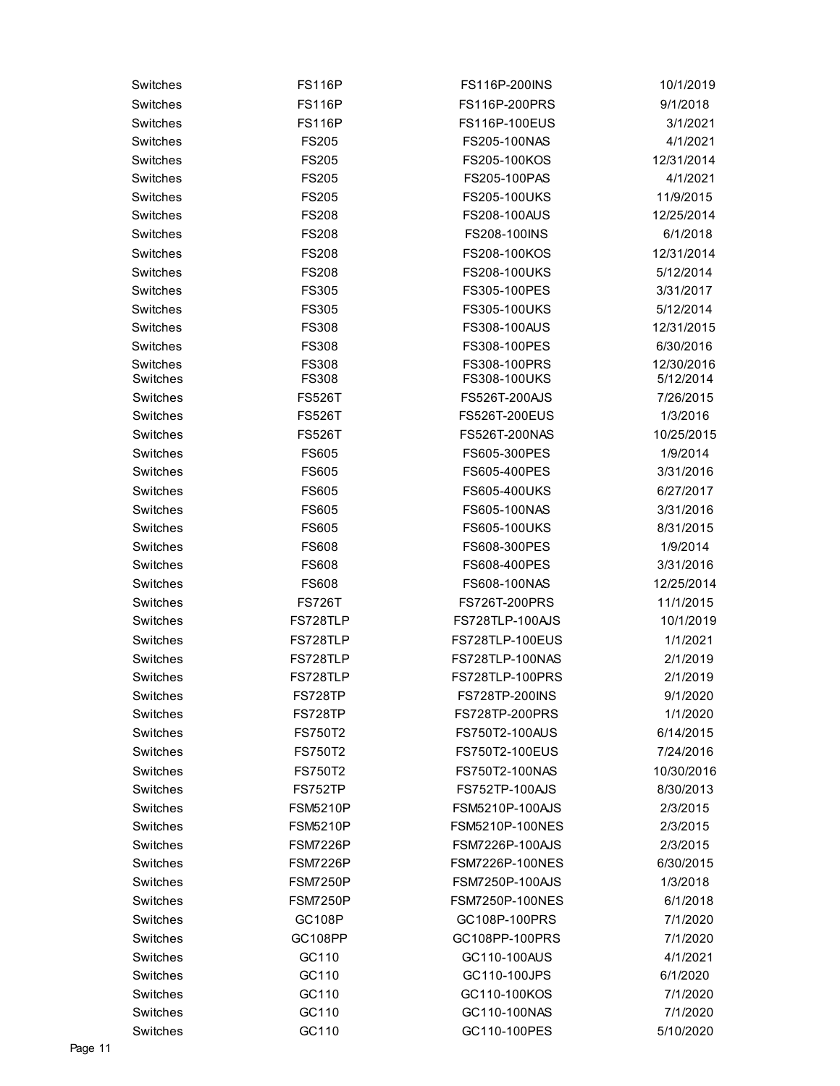| Switches | <b>FS116P</b>   | FS116P-200INS          | 10/1/2019  |
|----------|-----------------|------------------------|------------|
| Switches | <b>FS116P</b>   | FS116P-200PRS          | 9/1/2018   |
| Switches | <b>FS116P</b>   | <b>FS116P-100EUS</b>   | 3/1/2021   |
| Switches | <b>FS205</b>    | FS205-100NAS           | 4/1/2021   |
| Switches | <b>FS205</b>    | FS205-100KOS           | 12/31/2014 |
| Switches | <b>FS205</b>    | FS205-100PAS           | 4/1/2021   |
| Switches | <b>FS205</b>    | FS205-100UKS           | 11/9/2015  |
| Switches | <b>FS208</b>    | FS208-100AUS           | 12/25/2014 |
| Switches | <b>FS208</b>    | FS208-100INS           | 6/1/2018   |
| Switches | <b>FS208</b>    | FS208-100KOS           | 12/31/2014 |
| Switches | <b>FS208</b>    | FS208-100UKS           | 5/12/2014  |
| Switches | <b>FS305</b>    | FS305-100PES           | 3/31/2017  |
| Switches | <b>FS305</b>    | FS305-100UKS           | 5/12/2014  |
| Switches | <b>FS308</b>    | FS308-100AUS           | 12/31/2015 |
| Switches | <b>FS308</b>    | FS308-100PES           | 6/30/2016  |
| Switches | <b>FS308</b>    | FS308-100PRS           | 12/30/2016 |
| Switches | <b>FS308</b>    | FS308-100UKS           | 5/12/2014  |
| Switches | <b>FS526T</b>   | <b>FS526T-200AJS</b>   | 7/26/2015  |
| Switches | <b>FS526T</b>   | FS526T-200EUS          | 1/3/2016   |
| Switches | <b>FS526T</b>   | FS526T-200NAS          | 10/25/2015 |
| Switches | <b>FS605</b>    | FS605-300PES           | 1/9/2014   |
| Switches | <b>FS605</b>    | FS605-400PES           | 3/31/2016  |
| Switches | <b>FS605</b>    | FS605-400UKS           | 6/27/2017  |
| Switches | <b>FS605</b>    | FS605-100NAS           | 3/31/2016  |
| Switches | <b>FS605</b>    | FS605-100UKS           | 8/31/2015  |
| Switches | <b>FS608</b>    | FS608-300PES           | 1/9/2014   |
| Switches | <b>FS608</b>    | FS608-400PES           | 3/31/2016  |
| Switches | <b>FS608</b>    | FS608-100NAS           | 12/25/2014 |
| Switches | <b>FS726T</b>   | FS726T-200PRS          | 11/1/2015  |
| Switches | FS728TLP        | FS728TLP-100AJS        | 10/1/2019  |
| Switches | FS728TLP        | <b>FS728TLP-100EUS</b> | 1/1/2021   |
| Switches | FS728TLP        | FS728TLP-100NAS        | 2/1/2019   |
| Switches | FS728TLP        | FS728TLP-100PRS        | 2/1/2019   |
| Switches | <b>FS728TP</b>  | FS728TP-200INS         | 9/1/2020   |
| Switches | FS728TP         | <b>FS728TP-200PRS</b>  | 1/1/2020   |
| Switches | <b>FS750T2</b>  | FS750T2-100AUS         | 6/14/2015  |
| Switches | <b>FS750T2</b>  | FS750T2-100EUS         | 7/24/2016  |
| Switches | <b>FS750T2</b>  | FS750T2-100NAS         | 10/30/2016 |
| Switches | <b>FS752TP</b>  | <b>FS752TP-100AJS</b>  | 8/30/2013  |
| Switches | <b>FSM5210P</b> | <b>FSM5210P-100AJS</b> | 2/3/2015   |
| Switches | <b>FSM5210P</b> | <b>FSM5210P-100NES</b> | 2/3/2015   |
| Switches | <b>FSM7226P</b> | FSM7226P-100AJS        | 2/3/2015   |
| Switches | <b>FSM7226P</b> | FSM7226P-100NES        | 6/30/2015  |
| Switches | <b>FSM7250P</b> | <b>FSM7250P-100AJS</b> | 1/3/2018   |
| Switches | FSM7250P        | <b>FSM7250P-100NES</b> | 6/1/2018   |
| Switches | GC108P          | GC108P-100PRS          | 7/1/2020   |
| Switches | GC108PP         | GC108PP-100PRS         | 7/1/2020   |
| Switches | GC110           | GC110-100AUS           | 4/1/2021   |
| Switches | GC110           | GC110-100JPS           | 6/1/2020   |
| Switches | GC110           | GC110-100KOS           | 7/1/2020   |
| Switches | GC110           | GC110-100NAS           | 7/1/2020   |
| Switches | GC110           | GC110-100PES           | 5/10/2020  |
|          |                 |                        |            |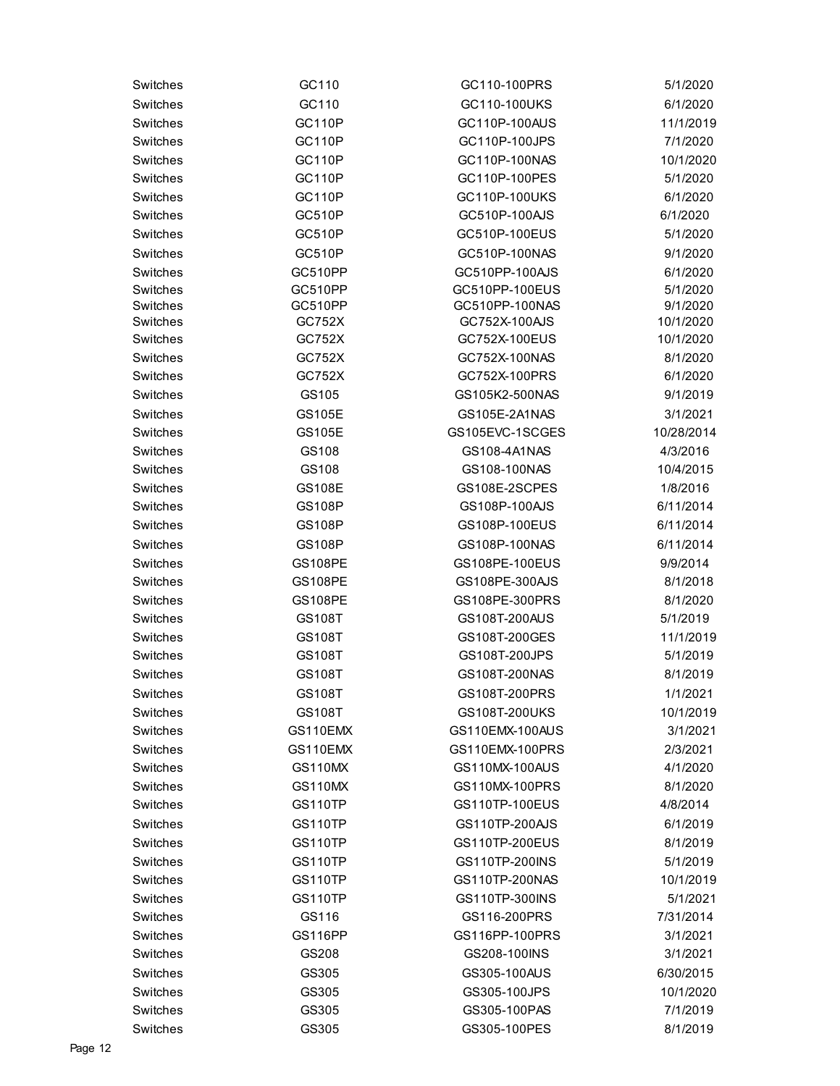| Switches             | GC110          | GC110-100PRS    | 5/1/2020   |
|----------------------|----------------|-----------------|------------|
| Switches             | GC110          | GC110-100UKS    | 6/1/2020   |
| Switches             | <b>GC110P</b>  | GC110P-100AUS   | 11/1/2019  |
| Switches             | <b>GC110P</b>  | GC110P-100JPS   | 7/1/2020   |
| Switches             | <b>GC110P</b>  | GC110P-100NAS   | 10/1/2020  |
| Switches             | <b>GC110P</b>  | GC110P-100PES   | 5/1/2020   |
| Switches             | <b>GC110P</b>  | GC110P-100UKS   | 6/1/2020   |
| Switches             | <b>GC510P</b>  | GC510P-100AJS   | 6/1/2020   |
| Switches             | <b>GC510P</b>  | GC510P-100EUS   | 5/1/2020   |
| Switches             | <b>GC510P</b>  | GC510P-100NAS   | 9/1/2020   |
| Switches             | GC510PP        | GC510PP-100AJS  | 6/1/2020   |
| Switches             | GC510PP        | GC510PP-100EUS  | 5/1/2020   |
| Switches             | GC510PP        | GC510PP-100NAS  | 9/1/2020   |
| Switches             | GC752X         | GC752X-100AJS   | 10/1/2020  |
| Switches             | GC752X         | GC752X-100EUS   | 10/1/2020  |
| Switches             | GC752X         | GC752X-100NAS   | 8/1/2020   |
| Switches             | GC752X         | GC752X-100PRS   | 6/1/2020   |
| Switches             | GS105          | GS105K2-500NAS  | 9/1/2019   |
| Switches             | <b>GS105E</b>  | GS105E-2A1NAS   | 3/1/2021   |
| Switches             | <b>GS105E</b>  | GS105EVC-1SCGES | 10/28/2014 |
| Switches             | GS108          | GS108-4A1NAS    | 4/3/2016   |
| Switches             | GS108          | GS108-100NAS    | 10/4/2015  |
| Switches             | <b>GS108E</b>  | GS108E-2SCPES   | 1/8/2016   |
| Switches             | <b>GS108P</b>  | GS108P-100AJS   | 6/11/2014  |
| Switches             | <b>GS108P</b>  | GS108P-100EUS   | 6/11/2014  |
| Switches             | <b>GS108P</b>  | GS108P-100NAS   | 6/11/2014  |
| Switches             | <b>GS108PE</b> | GS108PE-100EUS  | 9/9/2014   |
| Switches             | <b>GS108PE</b> | GS108PE-300AJS  | 8/1/2018   |
| Switches             | <b>GS108PE</b> | GS108PE-300PRS  | 8/1/2020   |
| Switches             | GS108T         | GS108T-200AUS   | 5/1/2019   |
| Switches             | GS108T         | GS108T-200GES   | 11/1/2019  |
| Switches             | GS108T         | GS108T-200JPS   | 5/1/2019   |
| Switches             | GS108T         | GS108T-200NAS   | 8/1/2019   |
| Switches             | GS108T         | GS108T-200PRS   | 1/1/2021   |
| Switches             | GS108T         | GS108T-200UKS   | 10/1/2019  |
| Switches             | GS110EMX       | GS110EMX-100AUS | 3/1/2021   |
| Switches             | GS110EMX       | GS110EMX-100PRS | 2/3/2021   |
| Switches             | GS110MX        | GS110MX-100AUS  | 4/1/2020   |
| Switches             | <b>GS110MX</b> | GS110MX-100PRS  | 8/1/2020   |
| Switches             | <b>GS110TP</b> | GS110TP-100EUS  | 4/8/2014   |
| Switches             | GS110TP        | GS110TP-200AJS  | 6/1/2019   |
| Switches             | GS110TP        | GS110TP-200EUS  | 8/1/2019   |
| Switches             | <b>GS110TP</b> | GS110TP-200INS  | 5/1/2019   |
| Switches             | <b>GS110TP</b> | GS110TP-200NAS  | 10/1/2019  |
| Switches             | GS110TP        | GS110TP-300INS  | 5/1/2021   |
| Switches             | GS116          | GS116-200PRS    | 7/31/2014  |
|                      |                |                 |            |
| Switches<br>Switches | <b>GS116PP</b> | GS116PP-100PRS  | 3/1/2021   |
|                      | GS208          | GS208-100INS    | 3/1/2021   |
| Switches             | GS305          | GS305-100AUS    | 6/30/2015  |
| Switches             | GS305          | GS305-100JPS    | 10/1/2020  |
| Switches             | GS305          | GS305-100PAS    | 7/1/2019   |
| Switches             | GS305          | GS305-100PES    | 8/1/2019   |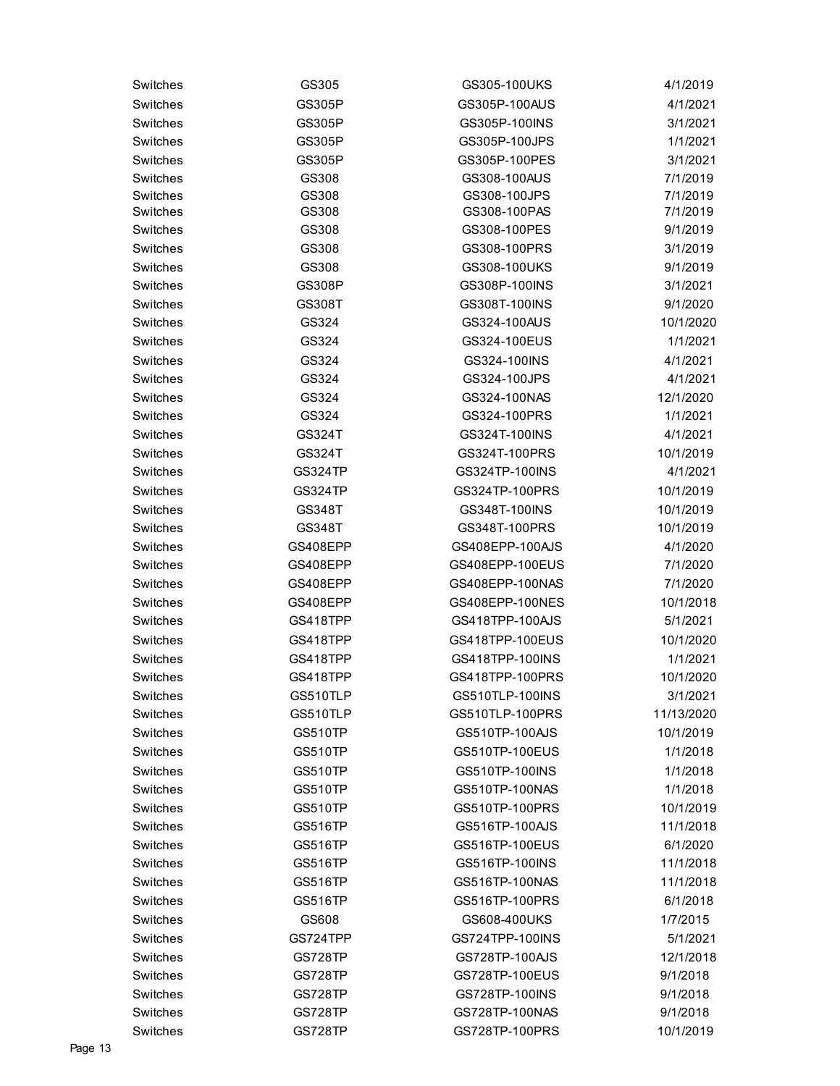| Switches | GS305          | GS305-100UKS    | 4/1/2019   |
|----------|----------------|-----------------|------------|
| Switches | GS305P         | GS305P-100AUS   | 4/1/2021   |
| Switches | GS305P         | GS305P-100INS   | 3/1/2021   |
| Switches | GS305P         | GS305P-100JPS   | 1/1/2021   |
| Switches | GS305P         | GS305P-100PES   | 3/1/2021   |
| Switches | GS308          | GS308-100AUS    | 7/1/2019   |
| Switches | GS308          | GS308-100JPS    | 7/1/2019   |
| Switches | GS308          | GS308-100PAS    | 7/1/2019   |
| Switches | GS308          | GS308-100PES    | 9/1/2019   |
| Switches | GS308          | GS308-100PRS    | 3/1/2019   |
| Switches | GS308          | GS308-100UKS    | 9/1/2019   |
| Switches | <b>GS308P</b>  | GS308P-100INS   | 3/1/2021   |
| Switches | GS308T         | GS308T-100INS   | 9/1/2020   |
| Switches | GS324          | GS324-100AUS    | 10/1/2020  |
| Switches | GS324          | GS324-100EUS    | 1/1/2021   |
| Switches | GS324          | GS324-100INS    | 4/1/2021   |
| Switches | GS324          | GS324-100JPS    | 4/1/2021   |
| Switches | GS324          | GS324-100NAS    | 12/1/2020  |
| Switches | GS324          | GS324-100PRS    | 1/1/2021   |
| Switches | GS324T         | GS324T-100INS   | 4/1/2021   |
| Switches | GS324T         | GS324T-100PRS   | 10/1/2019  |
| Switches | GS324TP        | GS324TP-100INS  | 4/1/2021   |
| Switches | <b>GS324TP</b> | GS324TP-100PRS  | 10/1/2019  |
| Switches | GS348T         | GS348T-100INS   | 10/1/2019  |
| Switches | GS348T         | GS348T-100PRS   | 10/1/2019  |
| Switches | GS408EPP       | GS408EPP-100AJS | 4/1/2020   |
| Switches | GS408EPP       | GS408EPP-100EUS | 7/1/2020   |
| Switches | GS408EPP       | GS408EPP-100NAS | 7/1/2020   |
| Switches | GS408EPP       | GS408EPP-100NES | 10/1/2018  |
| Switches | GS418TPP       | GS418TPP-100AJS | 5/1/2021   |
| Switches | GS418TPP       | GS418TPP-100EUS | 10/1/2020  |
| Switches | GS418TPP       | GS418TPP-100INS | 1/1/2021   |
| Switches | GS418TPP       | GS418TPP-100PRS | 10/1/2020  |
| Switches | GS510TLP       | GS510TLP-100INS | 3/1/2021   |
| Switches | GS510TLP       | GS510TLP-100PRS | 11/13/2020 |
| Switches | <b>GS510TP</b> | GS510TP-100AJS  | 10/1/2019  |
| Switches | GS510TP        | GS510TP-100EUS  | 1/1/2018   |
| Switches | GS510TP        | GS510TP-100INS  | 1/1/2018   |
| Switches | <b>GS510TP</b> | GS510TP-100NAS  | 1/1/2018   |
| Switches | <b>GS510TP</b> | GS510TP-100PRS  | 10/1/2019  |
| Switches | <b>GS516TP</b> | GS516TP-100AJS  | 11/1/2018  |
| Switches | <b>GS516TP</b> | GS516TP-100EUS  | 6/1/2020   |
| Switches | <b>GS516TP</b> | GS516TP-100INS  | 11/1/2018  |
| Switches | <b>GS516TP</b> | GS516TP-100NAS  | 11/1/2018  |
| Switches | <b>GS516TP</b> | GS516TP-100PRS  | 6/1/2018   |
| Switches | GS608          | GS608-400UKS    | 1/7/2015   |
| Switches | GS724TPP       | GS724TPP-100INS | 5/1/2021   |
| Switches | GS728TP        | GS728TP-100AJS  | 12/1/2018  |
| Switches | GS728TP        | GS728TP-100EUS  | 9/1/2018   |
| Switches | GS728TP        | GS728TP-100INS  | 9/1/2018   |
| Switches | GS728TP        | GS728TP-100NAS  | 9/1/2018   |
| Switches | <b>GS728TP</b> | GS728TP-100PRS  | 10/1/2019  |
|          |                |                 |            |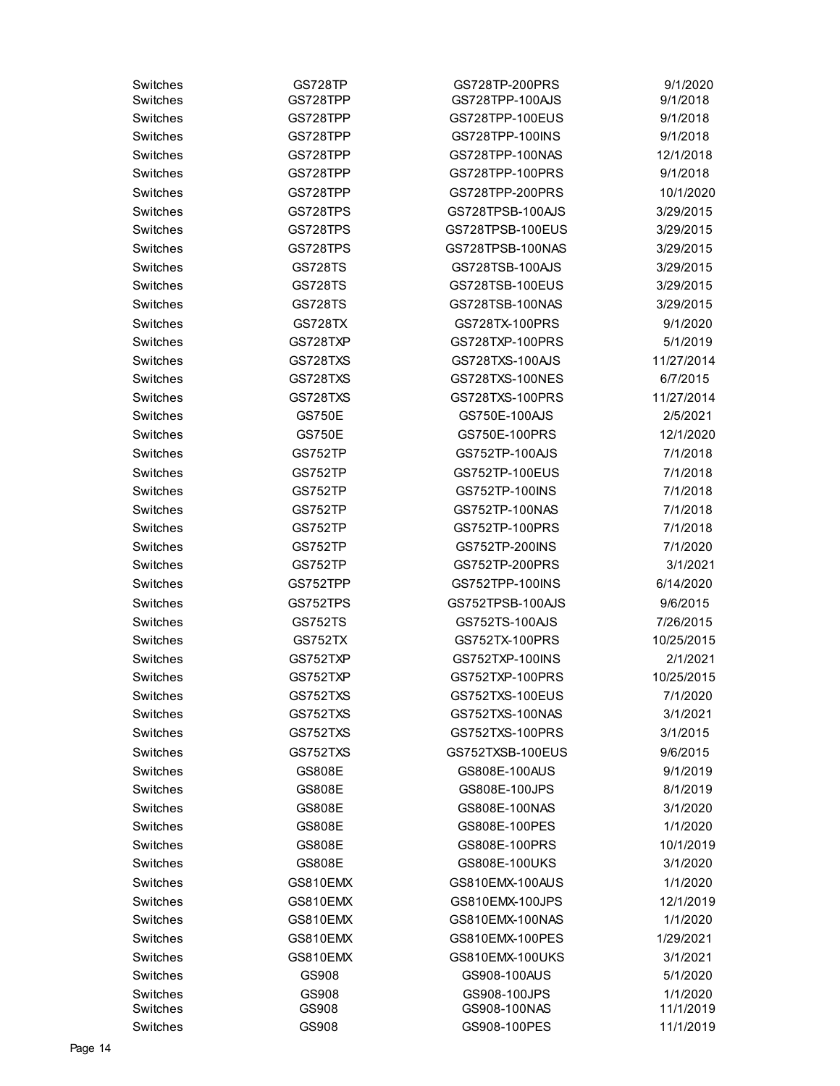| Switches | GS728TP        | GS728TP-200PRS   | 9/1/2020   |
|----------|----------------|------------------|------------|
| Switches | GS728TPP       | GS728TPP-100AJS  | 9/1/2018   |
| Switches | GS728TPP       | GS728TPP-100EUS  | 9/1/2018   |
| Switches | GS728TPP       | GS728TPP-100INS  | 9/1/2018   |
| Switches | GS728TPP       | GS728TPP-100NAS  | 12/1/2018  |
| Switches | GS728TPP       | GS728TPP-100PRS  | 9/1/2018   |
| Switches | GS728TPP       | GS728TPP-200PRS  | 10/1/2020  |
| Switches | GS728TPS       | GS728TPSB-100AJS | 3/29/2015  |
| Switches | GS728TPS       | GS728TPSB-100EUS | 3/29/2015  |
| Switches | GS728TPS       | GS728TPSB-100NAS | 3/29/2015  |
| Switches | <b>GS728TS</b> | GS728TSB-100AJS  | 3/29/2015  |
| Switches | GS728TS        | GS728TSB-100EUS  | 3/29/2015  |
| Switches | GS728TS        | GS728TSB-100NAS  | 3/29/2015  |
| Switches | <b>GS728TX</b> | GS728TX-100PRS   | 9/1/2020   |
| Switches | GS728TXP       | GS728TXP-100PRS  | 5/1/2019   |
| Switches | GS728TXS       | GS728TXS-100AJS  | 11/27/2014 |
| Switches | GS728TXS       | GS728TXS-100NES  | 6/7/2015   |
| Switches | GS728TXS       | GS728TXS-100PRS  | 11/27/2014 |
| Switches | <b>GS750E</b>  | GS750E-100AJS    | 2/5/2021   |
| Switches | <b>GS750E</b>  | GS750E-100PRS    | 12/1/2020  |
| Switches | GS752TP        | GS752TP-100AJS   | 7/1/2018   |
| Switches | GS752TP        | GS752TP-100EUS   | 7/1/2018   |
| Switches | GS752TP        | GS752TP-100INS   | 7/1/2018   |
| Switches | GS752TP        | GS752TP-100NAS   | 7/1/2018   |
| Switches | GS752TP        | GS752TP-100PRS   | 7/1/2018   |
| Switches | GS752TP        | GS752TP-200INS   | 7/1/2020   |
| Switches | GS752TP        | GS752TP-200PRS   | 3/1/2021   |
| Switches | GS752TPP       | GS752TPP-100INS  | 6/14/2020  |
| Switches | GS752TPS       | GS752TPSB-100AJS | 9/6/2015   |
| Switches | <b>GS752TS</b> | GS752TS-100AJS   | 7/26/2015  |
| Switches | GS752TX        | GS752TX-100PRS   | 10/25/2015 |
| Switches | GS752TXP       | GS752TXP-100INS  | 2/1/2021   |
| Switches | GS752TXP       | GS752TXP-100PRS  | 10/25/2015 |
| Switches | GS752TXS       | GS752TXS-100EUS  | 7/1/2020   |
| Switches | GS752TXS       | GS752TXS-100NAS  | 3/1/2021   |
| Switches | GS752TXS       | GS752TXS-100PRS  | 3/1/2015   |
| Switches | GS752TXS       | GS752TXSB-100EUS | 9/6/2015   |
| Switches | <b>GS808E</b>  | GS808E-100AUS    | 9/1/2019   |
| Switches | <b>GS808E</b>  | GS808E-100JPS    | 8/1/2019   |
| Switches | <b>GS808E</b>  | GS808E-100NAS    | 3/1/2020   |
| Switches | <b>GS808E</b>  | GS808E-100PES    | 1/1/2020   |
| Switches | <b>GS808E</b>  | GS808E-100PRS    | 10/1/2019  |
| Switches | GS808E         | GS808E-100UKS    | 3/1/2020   |
| Switches | GS810EMX       | GS810EMX-100AUS  | 1/1/2020   |
| Switches | GS810EMX       | GS810EMX-100JPS  | 12/1/2019  |
| Switches | GS810EMX       | GS810EMX-100NAS  | 1/1/2020   |
| Switches | GS810EMX       | GS810EMX-100PES  | 1/29/2021  |
| Switches | GS810EMX       | GS810EMX-100UKS  | 3/1/2021   |
| Switches | GS908          | GS908-100AUS     | 5/1/2020   |
| Switches | GS908          | GS908-100JPS     | 1/1/2020   |
| Switches | GS908          | GS908-100NAS     | 11/1/2019  |
| Switches | GS908          | GS908-100PES     | 11/1/2019  |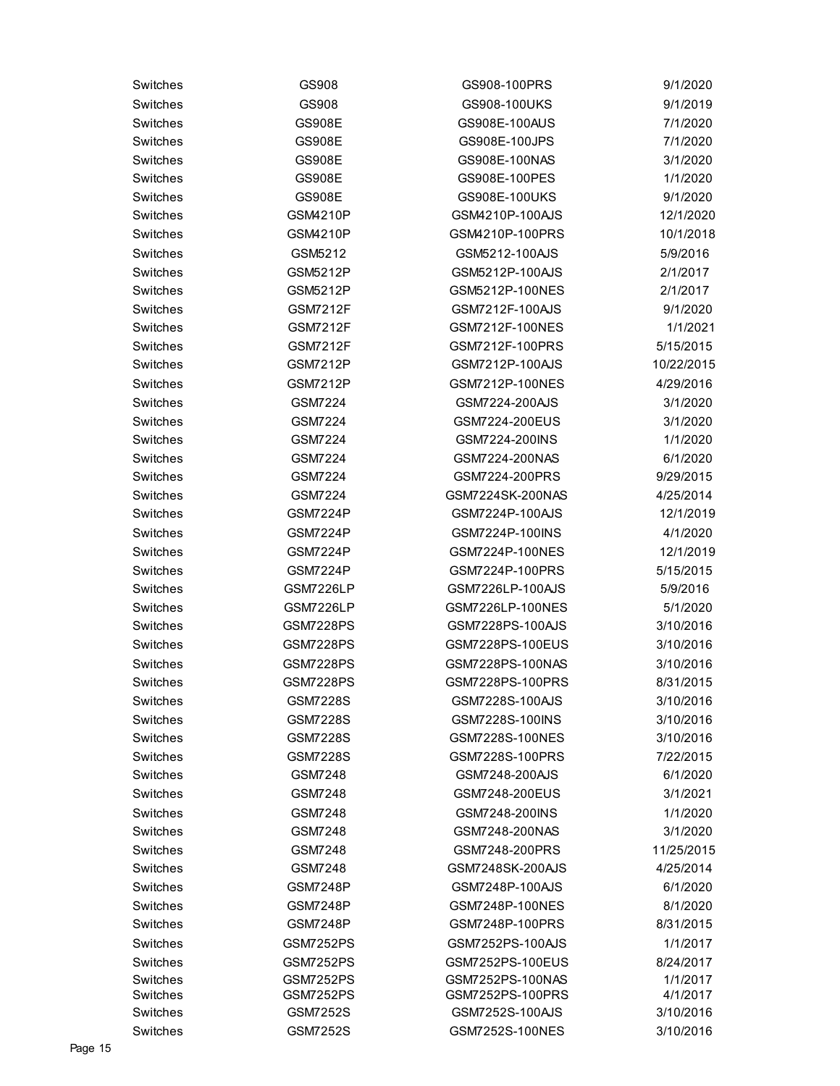| Switches | GS908            | GS908-100PRS     | 9/1/2020   |
|----------|------------------|------------------|------------|
| Switches | GS908            | GS908-100UKS     | 9/1/2019   |
| Switches | <b>GS908E</b>    | GS908E-100AUS    | 7/1/2020   |
| Switches | <b>GS908E</b>    | GS908E-100JPS    | 7/1/2020   |
| Switches | <b>GS908E</b>    | GS908E-100NAS    | 3/1/2020   |
| Switches | <b>GS908E</b>    | GS908E-100PES    | 1/1/2020   |
| Switches | <b>GS908E</b>    | GS908E-100UKS    | 9/1/2020   |
| Switches | <b>GSM4210P</b>  | GSM4210P-100AJS  | 12/1/2020  |
| Switches | GSM4210P         | GSM4210P-100PRS  | 10/1/2018  |
| Switches | GSM5212          | GSM5212-100AJS   | 5/9/2016   |
| Switches | <b>GSM5212P</b>  | GSM5212P-100AJS  | 2/1/2017   |
| Switches | <b>GSM5212P</b>  | GSM5212P-100NES  | 2/1/2017   |
| Switches | GSM7212F         | GSM7212F-100AJS  | 9/1/2020   |
| Switches | <b>GSM7212F</b>  | GSM7212F-100NES  | 1/1/2021   |
| Switches | <b>GSM7212F</b>  | GSM7212F-100PRS  | 5/15/2015  |
| Switches | <b>GSM7212P</b>  | GSM7212P-100AJS  | 10/22/2015 |
| Switches | GSM7212P         | GSM7212P-100NES  | 4/29/2016  |
| Switches | <b>GSM7224</b>   | GSM7224-200AJS   | 3/1/2020   |
| Switches | <b>GSM7224</b>   | GSM7224-200EUS   | 3/1/2020   |
| Switches | GSM7224          | GSM7224-200INS   | 1/1/2020   |
| Switches | <b>GSM7224</b>   | GSM7224-200NAS   | 6/1/2020   |
| Switches | GSM7224          | GSM7224-200PRS   | 9/29/2015  |
| Switches | GSM7224          | GSM7224SK-200NAS | 4/25/2014  |
| Switches | GSM7224P         | GSM7224P-100AJS  | 12/1/2019  |
| Switches | <b>GSM7224P</b>  | GSM7224P-100INS  | 4/1/2020   |
| Switches | <b>GSM7224P</b>  | GSM7224P-100NES  | 12/1/2019  |
| Switches | <b>GSM7224P</b>  | GSM7224P-100PRS  | 5/15/2015  |
| Switches | GSM7226LP        | GSM7226LP-100AJS | 5/9/2016   |
| Switches | GSM7226LP        | GSM7226LP-100NES | 5/1/2020   |
| Switches | <b>GSM7228PS</b> | GSM7228PS-100AJS | 3/10/2016  |
| Switches | <b>GSM7228PS</b> | GSM7228PS-100EUS | 3/10/2016  |
| Switches | <b>GSM7228PS</b> | GSM7228PS-100NAS | 3/10/2016  |
| Switches | <b>GSM7228PS</b> | GSM7228PS-100PRS | 8/31/2015  |
| Switches | <b>GSM7228S</b>  | GSM7228S-100AJS  | 3/10/2016  |
| Switches | <b>GSM7228S</b>  | GSM7228S-100INS  | 3/10/2016  |
| Switches | <b>GSM7228S</b>  | GSM7228S-100NES  | 3/10/2016  |
| Switches | <b>GSM7228S</b>  | GSM7228S-100PRS  | 7/22/2015  |
| Switches | GSM7248          | GSM7248-200AJS   | 6/1/2020   |
| Switches | GSM7248          | GSM7248-200EUS   | 3/1/2021   |
| Switches | <b>GSM7248</b>   | GSM7248-200INS   | 1/1/2020   |
| Switches | GSM7248          | GSM7248-200NAS   | 3/1/2020   |
| Switches | GSM7248          | GSM7248-200PRS   | 11/25/2015 |
| Switches | GSM7248          | GSM7248SK-200AJS | 4/25/2014  |
| Switches | <b>GSM7248P</b>  | GSM7248P-100AJS  | 6/1/2020   |
| Switches | <b>GSM7248P</b>  | GSM7248P-100NES  | 8/1/2020   |
| Switches | <b>GSM7248P</b>  | GSM7248P-100PRS  | 8/31/2015  |
| Switches | <b>GSM7252PS</b> | GSM7252PS-100AJS | 1/1/2017   |
| Switches | <b>GSM7252PS</b> | GSM7252PS-100EUS | 8/24/2017  |
| Switches | GSM7252PS        | GSM7252PS-100NAS | 1/1/2017   |
| Switches | <b>GSM7252PS</b> | GSM7252PS-100PRS | 4/1/2017   |
| Switches | GSM7252S         | GSM7252S-100AJS  | 3/10/2016  |
| Switches | <b>GSM7252S</b>  | GSM7252S-100NES  | 3/10/2016  |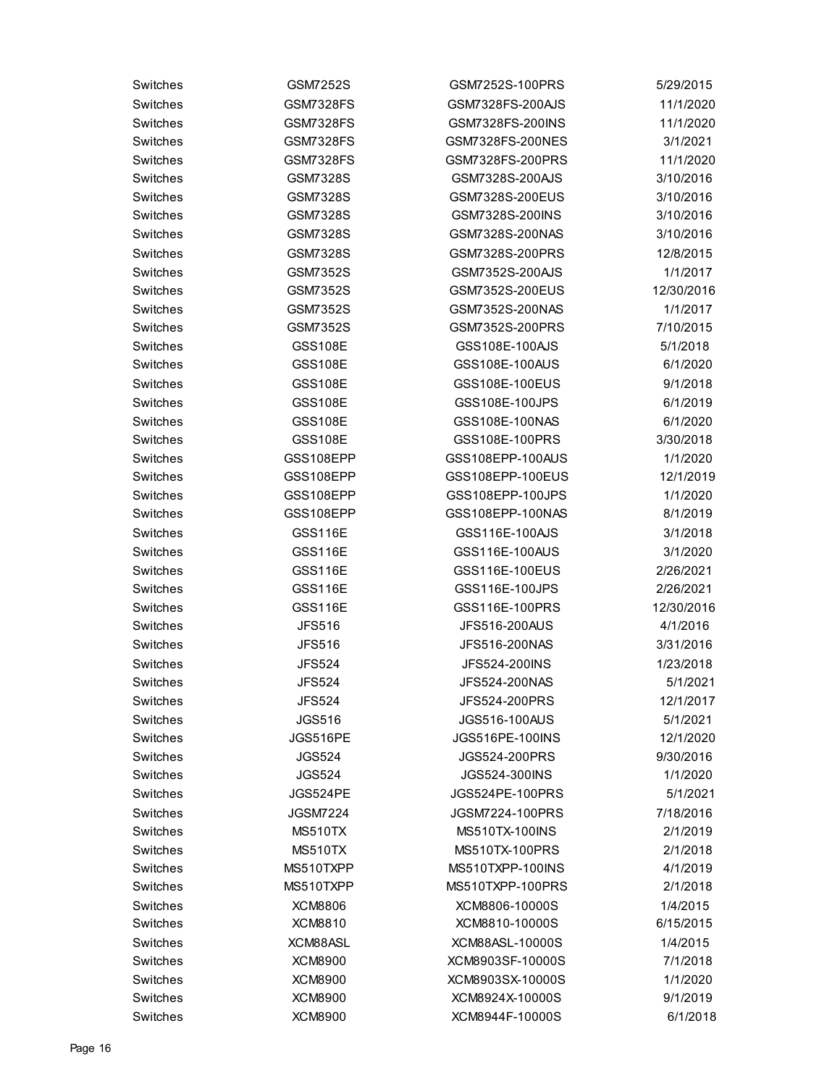| Switches | GSM7252S         | GSM7252S-100PRS        | 5/29/2015  |
|----------|------------------|------------------------|------------|
| Switches | <b>GSM7328FS</b> | GSM7328FS-200AJS       | 11/1/2020  |
| Switches | <b>GSM7328FS</b> | GSM7328FS-200INS       | 11/1/2020  |
| Switches | <b>GSM7328FS</b> | GSM7328FS-200NES       | 3/1/2021   |
| Switches | <b>GSM7328FS</b> | GSM7328FS-200PRS       | 11/1/2020  |
| Switches | GSM7328S         | GSM7328S-200AJS        | 3/10/2016  |
| Switches | <b>GSM7328S</b>  | GSM7328S-200EUS        | 3/10/2016  |
| Switches | GSM7328S         | GSM7328S-200INS        | 3/10/2016  |
| Switches | <b>GSM7328S</b>  | GSM7328S-200NAS        | 3/10/2016  |
| Switches | <b>GSM7328S</b>  | GSM7328S-200PRS        | 12/8/2015  |
| Switches | GSM7352S         | GSM7352S-200AJS        | 1/1/2017   |
| Switches | GSM7352S         | GSM7352S-200EUS        | 12/30/2016 |
| Switches | GSM7352S         | GSM7352S-200NAS        | 1/1/2017   |
| Switches | GSM7352S         | GSM7352S-200PRS        | 7/10/2015  |
| Switches | <b>GSS108E</b>   | GSS108E-100AJS         | 5/1/2018   |
| Switches | <b>GSS108E</b>   | GSS108E-100AUS         | 6/1/2020   |
| Switches | <b>GSS108E</b>   | GSS108E-100EUS         | 9/1/2018   |
| Switches | <b>GSS108E</b>   | GSS108E-100JPS         | 6/1/2019   |
| Switches | <b>GSS108E</b>   | GSS108E-100NAS         | 6/1/2020   |
| Switches | <b>GSS108E</b>   | GSS108E-100PRS         | 3/30/2018  |
| Switches | GSS108EPP        | GSS108EPP-100AUS       | 1/1/2020   |
| Switches | GSS108EPP        | GSS108EPP-100EUS       | 12/1/2019  |
| Switches | GSS108EPP        | GSS108EPP-100JPS       | 1/1/2020   |
| Switches | GSS108EPP        | GSS108EPP-100NAS       | 8/1/2019   |
| Switches | <b>GSS116E</b>   | GSS116E-100AJS         | 3/1/2018   |
| Switches | <b>GSS116E</b>   | GSS116E-100AUS         | 3/1/2020   |
| Switches | <b>GSS116E</b>   | GSS116E-100EUS         | 2/26/2021  |
| Switches | <b>GSS116E</b>   | GSS116E-100JPS         | 2/26/2021  |
| Switches | <b>GSS116E</b>   | GSS116E-100PRS         | 12/30/2016 |
| Switches | <b>JFS516</b>    | JFS516-200AUS          | 4/1/2016   |
| Switches | <b>JFS516</b>    | JFS516-200NAS          | 3/31/2016  |
| Switches | <b>JFS524</b>    | JFS524-200INS          | 1/23/2018  |
| Switches | <b>JFS524</b>    | JFS524-200NAS          | 5/1/2021   |
| Switches | <b>JFS524</b>    | JFS524-200PRS          | 12/1/2017  |
| Switches | <b>JGS516</b>    | <b>JGS516-100AUS</b>   | 5/1/2021   |
| Switches | JGS516PE         | <b>JGS516PE-100INS</b> | 12/1/2020  |
| Switches | <b>JGS524</b>    | JGS524-200PRS          | 9/30/2016  |
| Switches | <b>JGS524</b>    | <b>JGS524-300INS</b>   | 1/1/2020   |
| Switches | JGS524PE         | <b>JGS524PE-100PRS</b> | 5/1/2021   |
| Switches | <b>JGSM7224</b>  | JGSM7224-100PRS        | 7/18/2016  |
| Switches | MS510TX          | MS510TX-100INS         | 2/1/2019   |
| Switches | MS510TX          | MS510TX-100PRS         | 2/1/2018   |
| Switches | MS510TXPP        | MS510TXPP-100INS       | 4/1/2019   |
| Switches | MS510TXPP        | MS510TXPP-100PRS       | 2/1/2018   |
| Switches | <b>XCM8806</b>   | XCM8806-10000S         | 1/4/2015   |
| Switches | <b>XCM8810</b>   | XCM8810-10000S         | 6/15/2015  |
| Switches | XCM88ASL         | XCM88ASL-10000S        | 1/4/2015   |
| Switches | <b>XCM8900</b>   | XCM8903SF-10000S       | 7/1/2018   |
| Switches | <b>XCM8900</b>   | XCM8903SX-10000S       | 1/1/2020   |
| Switches | <b>XCM8900</b>   | XCM8924X-10000S        | 9/1/2019   |
| Switches | <b>XCM8900</b>   | XCM8944F-10000S        | 6/1/2018   |
|          |                  |                        |            |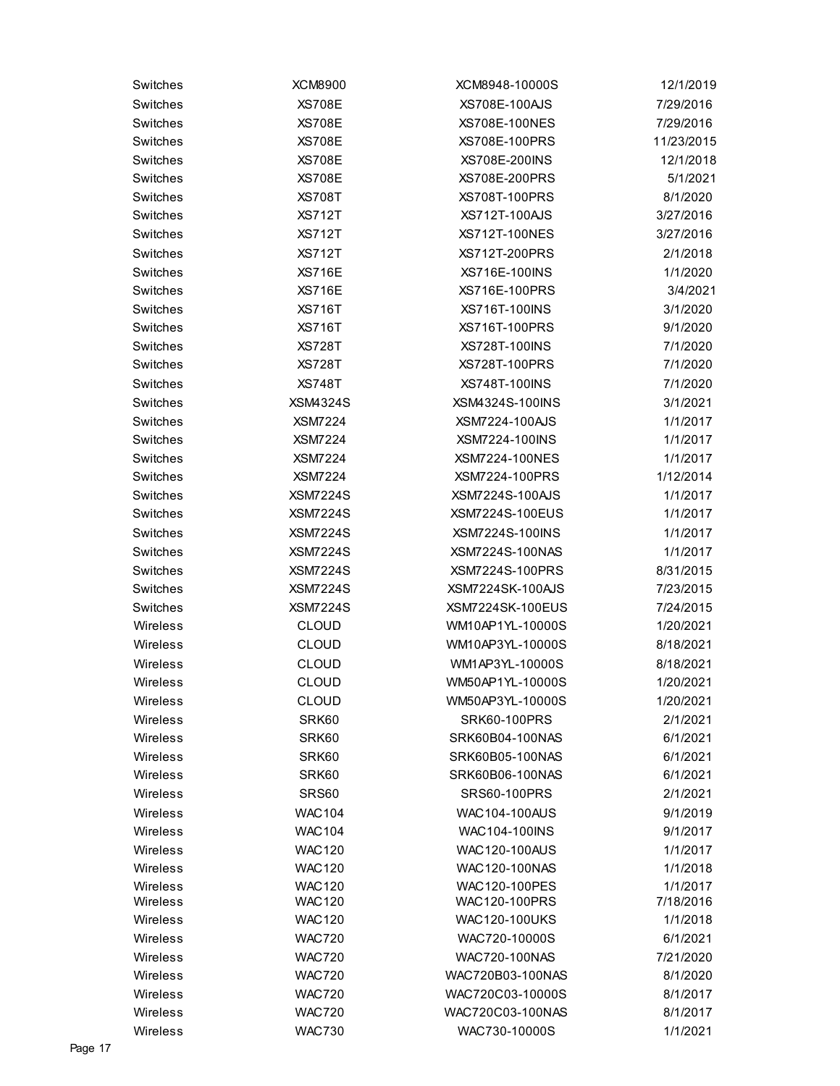| Switches             | <b>XCM8900</b>                 | XCM8948-10000S                        | 12/1/2019             |
|----------------------|--------------------------------|---------------------------------------|-----------------------|
| Switches             | <b>XS708E</b>                  | XS708E-100AJS                         | 7/29/2016             |
| Switches             | <b>XS708E</b>                  | XS708E-100NES                         | 7/29/2016             |
| Switches             | <b>XS708E</b>                  | XS708E-100PRS                         | 11/23/2015            |
| Switches             | <b>XS708E</b>                  | XS708E-200INS                         | 12/1/2018             |
| Switches             | <b>XS708E</b>                  | XS708E-200PRS                         | 5/1/2021              |
| Switches             | <b>XS708T</b>                  | <b>XS708T-100PRS</b>                  | 8/1/2020              |
| Switches             | <b>XS712T</b>                  | <b>XS712T-100AJS</b>                  | 3/27/2016             |
| Switches             | <b>XS712T</b>                  | <b>XS712T-100NES</b>                  | 3/27/2016             |
| Switches             | <b>XS712T</b>                  | <b>XS712T-200PRS</b>                  | 2/1/2018              |
| Switches             | <b>XS716E</b>                  | XS716E-100INS                         | 1/1/2020              |
| Switches             | <b>XS716E</b>                  | XS716E-100PRS                         | 3/4/2021              |
| Switches             | <b>XS716T</b>                  | XS716T-100INS                         | 3/1/2020              |
| Switches             | <b>XS716T</b>                  | <b>XS716T-100PRS</b>                  | 9/1/2020              |
| Switches             | <b>XS728T</b>                  | <b>XS728T-100INS</b>                  | 7/1/2020              |
| Switches             | <b>XS728T</b>                  | <b>XS728T-100PRS</b>                  | 7/1/2020              |
| Switches             | <b>XS748T</b>                  | XS748T-100INS                         | 7/1/2020              |
| Switches             | <b>XSM4324S</b>                | XSM4324S-100INS                       | 3/1/2021              |
| Switches             | <b>XSM7224</b>                 | XSM7224-100AJS                        | 1/1/2017              |
| Switches             | <b>XSM7224</b>                 | XSM7224-100INS                        | 1/1/2017              |
| Switches             | <b>XSM7224</b>                 | XSM7224-100NES                        | 1/1/2017              |
| Switches             | <b>XSM7224</b>                 | XSM7224-100PRS                        | 1/12/2014             |
| Switches             | <b>XSM7224S</b>                | <b>XSM7224S-100AJS</b>                | 1/1/2017              |
| Switches             | <b>XSM7224S</b>                | <b>XSM7224S-100EUS</b>                | 1/1/2017              |
| Switches             | <b>XSM7224S</b>                | <b>XSM7224S-100INS</b>                | 1/1/2017              |
| Switches             | <b>XSM7224S</b>                | <b>XSM7224S-100NAS</b>                | 1/1/2017              |
| Switches             | <b>XSM7224S</b>                | <b>XSM7224S-100PRS</b>                | 8/31/2015             |
| Switches             | <b>XSM7224S</b>                | <b>XSM7224SK-100AJS</b>               | 7/23/2015             |
| Switches             | <b>XSM7224S</b>                | <b>XSM7224SK-100EUS</b>               | 7/24/2015             |
| Wireless             | <b>CLOUD</b>                   | WM10AP1YL-10000S                      | 1/20/2021             |
| Wireless             | <b>CLOUD</b>                   | WM10AP3YL-10000S                      | 8/18/2021             |
|                      |                                |                                       |                       |
| Wireless             | <b>CLOUD</b>                   | WM1AP3YL-10000S                       | 8/18/2021             |
| Wireless             | <b>CLOUD</b>                   | WM50AP1YL-10000S                      | 1/20/2021             |
| Wireless             | <b>CLOUD</b>                   | WM50AP3YL-10000S                      | 1/20/2021             |
| Wireless             | SRK60                          | <b>SRK60-100PRS</b>                   | 2/1/2021              |
| Wireless             | SRK60                          | SRK60B04-100NAS                       | 6/1/2021              |
| Wireless             | SRK60                          | SRK60B05-100NAS                       | 6/1/2021              |
| Wireless             | SRK60                          | SRK60B06-100NAS                       | 6/1/2021              |
| Wireless             | SRS60                          | <b>SRS60-100PRS</b>                   | 2/1/2021              |
| Wireless             | <b>WAC104</b>                  | WAC104-100AUS                         | 9/1/2019              |
| Wireless             | <b>WAC104</b>                  | WAC104-100INS                         | 9/1/2017              |
| Wireless             | <b>WAC120</b>                  | <b>WAC120-100AUS</b>                  | 1/1/2017              |
| Wireless             | <b>WAC120</b>                  | WAC120-100NAS                         | 1/1/2018              |
| Wireless<br>Wireless | <b>WAC120</b><br><b>WAC120</b> | WAC120-100PES<br><b>WAC120-100PRS</b> | 1/1/2017<br>7/18/2016 |
| Wireless             | <b>WAC120</b>                  | <b>WAC120-100UKS</b>                  | 1/1/2018              |
| Wireless             | <b>WAC720</b>                  | WAC720-10000S                         | 6/1/2021              |
| Wireless             | <b>WAC720</b>                  | WAC720-100NAS                         | 7/21/2020             |
| Wireless             | <b>WAC720</b>                  | WAC720B03-100NAS                      | 8/1/2020              |
| Wireless             | <b>WAC720</b>                  | WAC720C03-10000S                      | 8/1/2017              |
| Wireless             | <b>WAC720</b>                  | WAC720C03-100NAS                      | 8/1/2017              |
| Wireless             | <b>WAC730</b>                  | WAC730-10000S                         | 1/1/2021              |
|                      |                                |                                       |                       |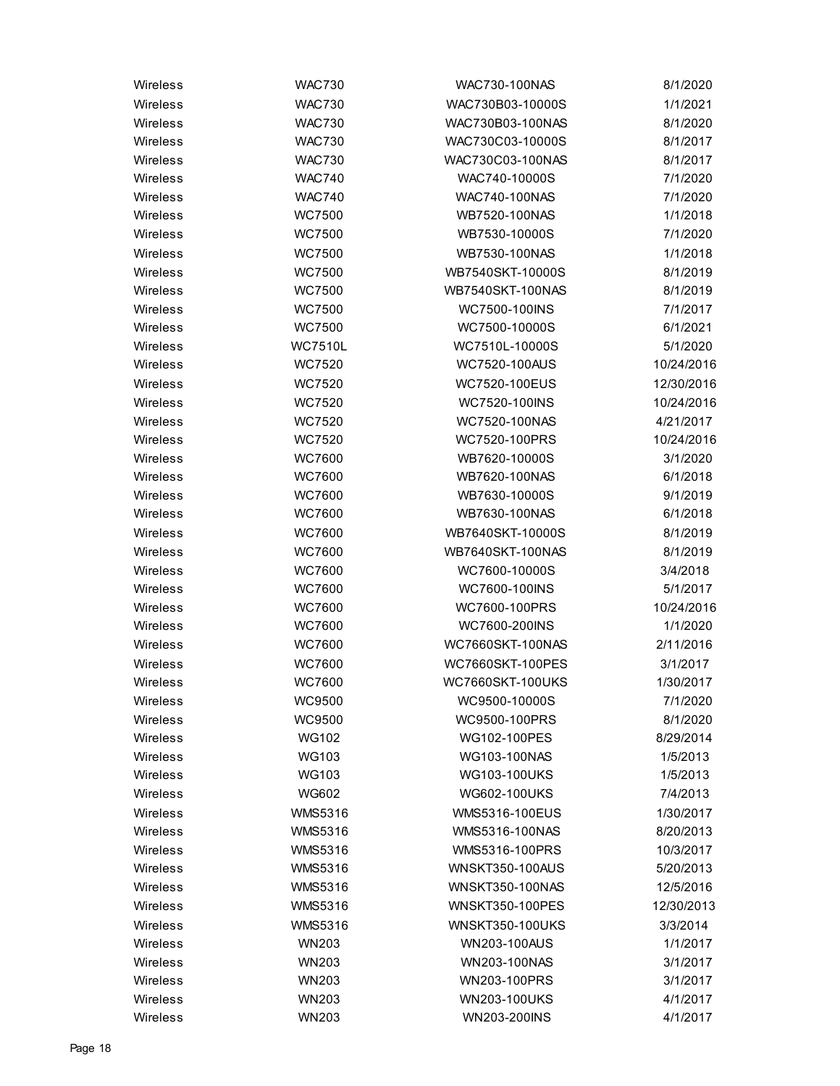| Wireless | <b>WAC730</b>  | <b>WAC730-100NAS</b>    | 8/1/2020   |
|----------|----------------|-------------------------|------------|
| Wireless | <b>WAC730</b>  | WAC730B03-10000S        | 1/1/2021   |
| Wireless | <b>WAC730</b>  | WAC730B03-100NAS        | 8/1/2020   |
| Wireless | <b>WAC730</b>  | WAC730C03-10000S        | 8/1/2017   |
| Wireless | <b>WAC730</b>  | WAC730C03-100NAS        | 8/1/2017   |
| Wireless | <b>WAC740</b>  | WAC740-10000S           | 7/1/2020   |
| Wireless | <b>WAC740</b>  | WAC740-100NAS           | 7/1/2020   |
| Wireless | WC7500         | WB7520-100NAS           | 1/1/2018   |
| Wireless | WC7500         | WB7530-10000S           | 7/1/2020   |
| Wireless | <b>WC7500</b>  | WB7530-100NAS           | 1/1/2018   |
| Wireless | <b>WC7500</b>  | WB7540SKT-10000S        | 8/1/2019   |
| Wireless | <b>WC7500</b>  | WB7540SKT-100NAS        | 8/1/2019   |
| Wireless | <b>WC7500</b>  | WC7500-100INS           | 7/1/2017   |
| Wireless | <b>WC7500</b>  | WC7500-10000S           | 6/1/2021   |
| Wireless | <b>WC7510L</b> | WC7510L-10000S          | 5/1/2020   |
| Wireless | WC7520         | <b>WC7520-100AUS</b>    | 10/24/2016 |
| Wireless | WC7520         | WC7520-100EUS           | 12/30/2016 |
| Wireless | <b>WC7520</b>  | WC7520-100INS           | 10/24/2016 |
| Wireless | WC7520         | WC7520-100NAS           | 4/21/2017  |
| Wireless | WC7520         | WC7520-100PRS           | 10/24/2016 |
| Wireless | <b>WC7600</b>  | WB7620-10000S           | 3/1/2020   |
| Wireless | <b>WC7600</b>  | WB7620-100NAS           | 6/1/2018   |
| Wireless | WC7600         | WB7630-10000S           | 9/1/2019   |
| Wireless | <b>WC7600</b>  | WB7630-100NAS           | 6/1/2018   |
| Wireless | <b>WC7600</b>  | WB7640SKT-10000S        | 8/1/2019   |
| Wireless | <b>WC7600</b>  | WB7640SKT-100NAS        | 8/1/2019   |
| Wireless | WC7600         | WC7600-10000S           | 3/4/2018   |
| Wireless | <b>WC7600</b>  | WC7600-100INS           | 5/1/2017   |
| Wireless | <b>WC7600</b>  | WC7600-100PRS           | 10/24/2016 |
| Wireless | <b>WC7600</b>  | WC7600-200INS           | 1/1/2020   |
| Wireless | WC7600         | <b>WC7660SKT-100NAS</b> | 2/11/2016  |
| Wireless | <b>WC7600</b>  | WC7660SKT-100PES        | 3/1/2017   |
| Wireless | <b>WC7600</b>  | <b>WC7660SKT-100UKS</b> | 1/30/2017  |
| Wireless | WC9500         | WC9500-10000S           | 7/1/2020   |
| Wireless | WC9500         | WC9500-100PRS           | 8/1/2020   |
| Wireless | WG102          | WG102-100PES            | 8/29/2014  |
| Wireless | <b>WG103</b>   | WG103-100NAS            | 1/5/2013   |
| Wireless | WG103          | <b>WG103-100UKS</b>     | 1/5/2013   |
| Wireless | <b>WG602</b>   | WG602-100UKS            | 7/4/2013   |
| Wireless | <b>WMS5316</b> | WMS5316-100EUS          | 1/30/2017  |
| Wireless | <b>WMS5316</b> | WMS5316-100NAS          | 8/20/2013  |
| Wireless | <b>WMS5316</b> | WMS5316-100PRS          | 10/3/2017  |
| Wireless | <b>WMS5316</b> | <b>WNSKT350-100AUS</b>  | 5/20/2013  |
| Wireless | <b>WMS5316</b> | WNSKT350-100NAS         | 12/5/2016  |
| Wireless | <b>WMS5316</b> | <b>WNSKT350-100PES</b>  | 12/30/2013 |
| Wireless | <b>WMS5316</b> | <b>WNSKT350-100UKS</b>  | 3/3/2014   |
| Wireless | <b>WN203</b>   | WN203-100AUS            | 1/1/2017   |
| Wireless | <b>WN203</b>   | WN203-100NAS            | 3/1/2017   |
| Wireless | <b>WN203</b>   | WN203-100PRS            | 3/1/2017   |
| Wireless | <b>WN203</b>   | WN203-100UKS            | 4/1/2017   |
| Wireless | <b>WN203</b>   | WN203-200INS            | 4/1/2017   |
|          |                |                         |            |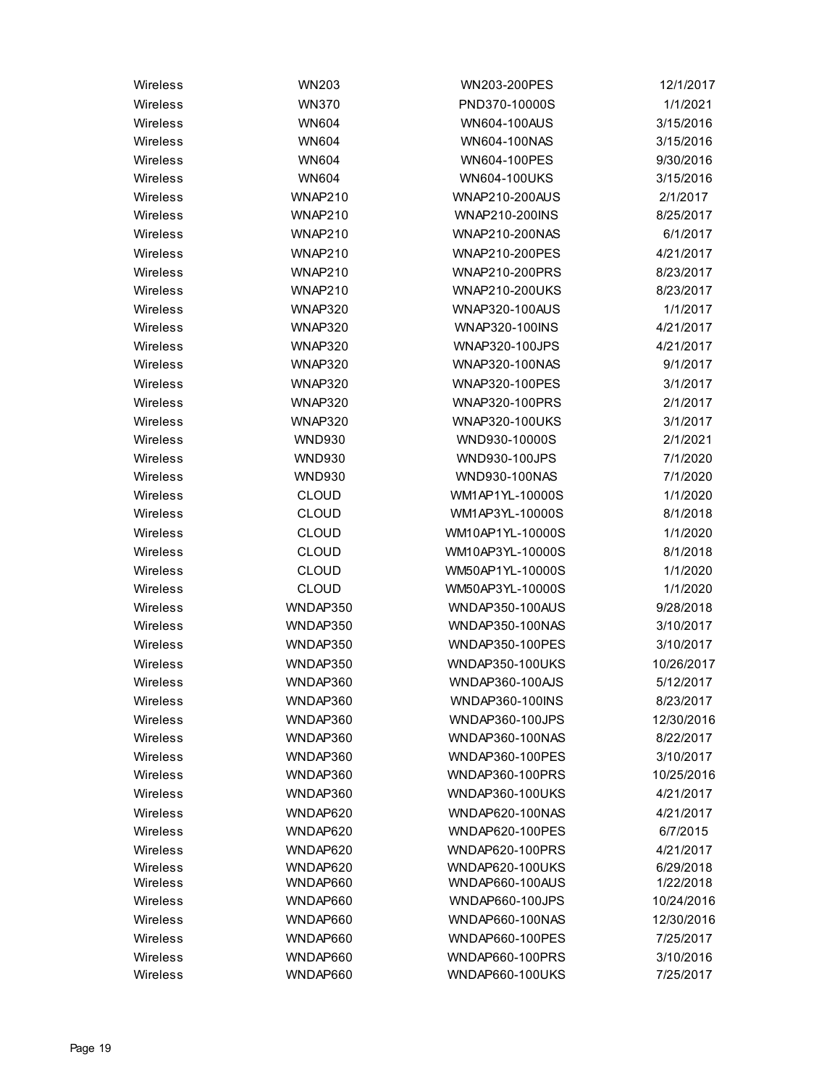| Wireless | <b>WN203</b>   | WN203-200PES           | 12/1/2017  |
|----------|----------------|------------------------|------------|
| Wireless | <b>WN370</b>   | PND370-10000S          | 1/1/2021   |
| Wireless | <b>WN604</b>   | <b>WN604-100AUS</b>    | 3/15/2016  |
| Wireless | <b>WN604</b>   | WN604-100NAS           | 3/15/2016  |
| Wireless | <b>WN604</b>   | WN604-100PES           | 9/30/2016  |
| Wireless | <b>WN604</b>   | <b>WN604-100UKS</b>    | 3/15/2016  |
| Wireless | WNAP210        | WNAP210-200AUS         | 2/1/2017   |
| Wireless | <b>WNAP210</b> | WNAP210-200INS         | 8/25/2017  |
| Wireless | WNAP210        | WNAP210-200NAS         | 6/1/2017   |
| Wireless | <b>WNAP210</b> | <b>WNAP210-200PES</b>  | 4/21/2017  |
| Wireless | <b>WNAP210</b> | WNAP210-200PRS         | 8/23/2017  |
| Wireless | <b>WNAP210</b> | <b>WNAP210-200UKS</b>  | 8/23/2017  |
| Wireless | <b>WNAP320</b> | WNAP320-100AUS         | 1/1/2017   |
| Wireless | <b>WNAP320</b> | WNAP320-100INS         | 4/21/2017  |
| Wireless | <b>WNAP320</b> | WNAP320-100JPS         | 4/21/2017  |
| Wireless | <b>WNAP320</b> | WNAP320-100NAS         | 9/1/2017   |
| Wireless | <b>WNAP320</b> | <b>WNAP320-100PES</b>  | 3/1/2017   |
| Wireless | <b>WNAP320</b> | WNAP320-100PRS         | 2/1/2017   |
| Wireless | <b>WNAP320</b> | WNAP320-100UKS         | 3/1/2017   |
| Wireless | <b>WND930</b>  | WND930-10000S          | 2/1/2021   |
| Wireless | <b>WND930</b>  | WND930-100JPS          | 7/1/2020   |
| Wireless | <b>WND930</b>  | WND930-100NAS          | 7/1/2020   |
| Wireless | <b>CLOUD</b>   | WM1AP1YL-10000S        | 1/1/2020   |
| Wireless | <b>CLOUD</b>   | WM1AP3YL-10000S        | 8/1/2018   |
| Wireless | <b>CLOUD</b>   | WM10AP1YL-10000S       | 1/1/2020   |
| Wireless | <b>CLOUD</b>   | WM10AP3YL-10000S       | 8/1/2018   |
| Wireless | <b>CLOUD</b>   | WM50AP1YL-10000S       | 1/1/2020   |
| Wireless | <b>CLOUD</b>   | WM50AP3YL-10000S       | 1/1/2020   |
| Wireless | WNDAP350       | WNDAP350-100AUS        | 9/28/2018  |
| Wireless | WNDAP350       | <b>WNDAP350-100NAS</b> | 3/10/2017  |
| Wireless | WNDAP350       | <b>WNDAP350-100PES</b> | 3/10/2017  |
| Wireless | WNDAP350       | <b>WNDAP350-100UKS</b> | 10/26/2017 |
| Wireless | WNDAP360       | <b>WNDAP360-100AJS</b> | 5/12/2017  |
| Wireless | WNDAP360       | WNDAP360-100INS        | 8/23/2017  |
| Wireless | WNDAP360       | WNDAP360-100JPS        | 12/30/2016 |
| Wireless | WNDAP360       | <b>WNDAP360-100NAS</b> | 8/22/2017  |
| Wireless | WNDAP360       | WNDAP360-100PES        | 3/10/2017  |
| Wireless | WNDAP360       | <b>WNDAP360-100PRS</b> | 10/25/2016 |
| Wireless | WNDAP360       | <b>WNDAP360-100UKS</b> | 4/21/2017  |
| Wireless | WNDAP620       | WNDAP620-100NAS        | 4/21/2017  |
| Wireless | WNDAP620       | WNDAP620-100PES        | 6/7/2015   |
| Wireless | WNDAP620       | WNDAP620-100PRS        | 4/21/2017  |
| Wireless | WNDAP620       | <b>WNDAP620-100UKS</b> | 6/29/2018  |
| Wireless | WNDAP660       | <b>WNDAP660-100AUS</b> | 1/22/2018  |
| Wireless | WNDAP660       | WNDAP660-100JPS        | 10/24/2016 |
| Wireless | WNDAP660       | WNDAP660-100NAS        | 12/30/2016 |
| Wireless | WNDAP660       | WNDAP660-100PES        | 7/25/2017  |
| Wireless | WNDAP660       | WNDAP660-100PRS        | 3/10/2016  |
| Wireless | WNDAP660       | <b>WNDAP660-100UKS</b> | 7/25/2017  |